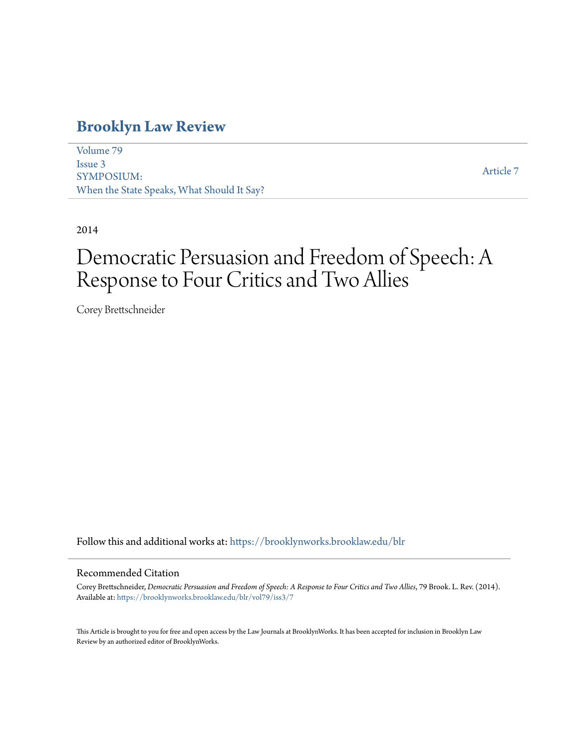### **[Brooklyn Law Review](https://brooklynworks.brooklaw.edu/blr?utm_source=brooklynworks.brooklaw.edu%2Fblr%2Fvol79%2Fiss3%2F7&utm_medium=PDF&utm_campaign=PDFCoverPages)**

[Volume 79](https://brooklynworks.brooklaw.edu/blr/vol79?utm_source=brooklynworks.brooklaw.edu%2Fblr%2Fvol79%2Fiss3%2F7&utm_medium=PDF&utm_campaign=PDFCoverPages) [Issue 3](https://brooklynworks.brooklaw.edu/blr/vol79/iss3?utm_source=brooklynworks.brooklaw.edu%2Fblr%2Fvol79%2Fiss3%2F7&utm_medium=PDF&utm_campaign=PDFCoverPages) SYMPOSIUM: When the State Speaks, What Should It Say?

[Article 7](https://brooklynworks.brooklaw.edu/blr/vol79/iss3/7?utm_source=brooklynworks.brooklaw.edu%2Fblr%2Fvol79%2Fiss3%2F7&utm_medium=PDF&utm_campaign=PDFCoverPages)

#### 2014

# Democratic Persuasion and Freedom of Speech: A Response to Four Critics and Two Allies

Corey Brettschneider

Follow this and additional works at: [https://brooklynworks.brooklaw.edu/blr](https://brooklynworks.brooklaw.edu/blr?utm_source=brooklynworks.brooklaw.edu%2Fblr%2Fvol79%2Fiss3%2F7&utm_medium=PDF&utm_campaign=PDFCoverPages)

#### Recommended Citation

Corey Brettschneider, *Democratic Persuasion and Freedom of Speech: A Response to Four Critics and Two Allies*, 79 Brook. L. Rev. (2014). Available at: [https://brooklynworks.brooklaw.edu/blr/vol79/iss3/7](https://brooklynworks.brooklaw.edu/blr/vol79/iss3/7?utm_source=brooklynworks.brooklaw.edu%2Fblr%2Fvol79%2Fiss3%2F7&utm_medium=PDF&utm_campaign=PDFCoverPages)

This Article is brought to you for free and open access by the Law Journals at BrooklynWorks. It has been accepted for inclusion in Brooklyn Law Review by an authorized editor of BrooklynWorks.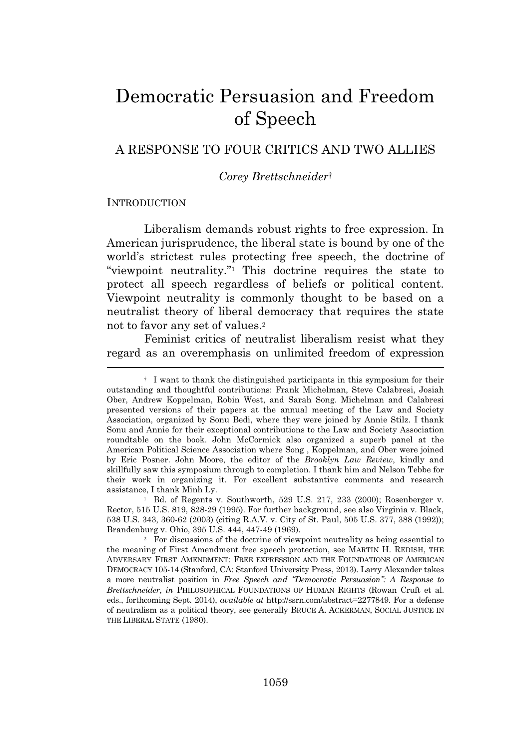## Democratic Persuasion and Freedom of Speech

#### A RESPONSE TO FOUR CRITICS AND TWO ALLIES

*Corey Brettschneider*†

#### **INTRODUCTION**

Liberalism demands robust rights to free expression. In American jurisprudence, the liberal state is bound by one of the world's strictest rules protecting free speech, the doctrine of "viewpoint neutrality."<sup>1</sup> This doctrine requires the state to protect all speech regardless of beliefs or political content. Viewpoint neutrality is commonly thought to be based on a neutralist theory of liberal democracy that requires the state not to favor any set of values.<sup>2</sup>

Feminist critics of neutralist liberalism resist what they regard as an overemphasis on unlimited freedom of expression

<sup>1</sup> Bd. of Regents v. Southworth, 529 U.S. 217, 233 (2000); Rosenberger v. Rector, 515 U.S. 819, 828-29 (1995). For further background, see also Virginia v. Black, 538 U.S. 343, 360-62 (2003) (citing R.A.V. v. City of St. Paul, 505 U.S. 377, 388 (1992)); Brandenburg v. Ohio, 395 U.S. 444, 447-49 (1969).

<sup>2</sup> For discussions of the doctrine of viewpoint neutrality as being essential to the meaning of First Amendment free speech protection, see MARTIN H. REDISH, THE ADVERSARY FIRST AMENDMENT: FREE EXPRESSION AND THE FOUNDATIONS OF AMERICAN DEMOCRACY 105-14 (Stanford, CA: Stanford University Press, 2013). Larry Alexander takes a more neutralist position in *Free Speech and "Democratic Persuasion": A Response to Brettschneider*, *in* PHILOSOPHICAL FOUNDATIONS OF HUMAN RIGHTS (Rowan Cruft et al. eds., forthcoming Sept. 2014), *available at* http://ssrn.com/abstract=2277849. For a defense of neutralism as a political theory, see generally BRUCE A. ACKERMAN, SOCIAL JUSTICE IN THE LIBERAL STATE (1980).

<sup>†</sup> I want to thank the distinguished participants in this symposium for their outstanding and thoughtful contributions: Frank Michelman, Steve Calabresi, Josiah Ober, Andrew Koppelman, Robin West, and Sarah Song. Michelman and Calabresi presented versions of their papers at the annual meeting of the Law and Society Association, organized by Sonu Bedi, where they were joined by Annie Stilz. I thank Sonu and Annie for their exceptional contributions to the Law and Society Association roundtable on the book. John McCormick also organized a superb panel at the American Political Science Association where Song , Koppelman, and Ober were joined by Eric Posner. John Moore, the editor of the *Brooklyn Law Review*, kindly and skillfully saw this symposium through to completion. I thank him and Nelson Tebbe for their work in organizing it. For excellent substantive comments and research assistance, I thank Minh Ly.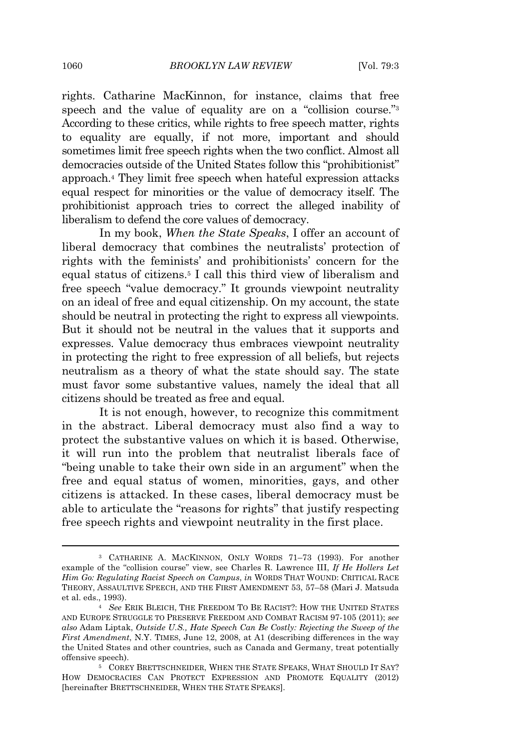rights. Catharine MacKinnon, for instance, claims that free speech and the value of equality are on a "collision course."<sup>3</sup> According to these critics, while rights to free speech matter, rights to equality are equally, if not more, important and should sometimes limit free speech rights when the two conflict. Almost all democracies outside of the United States follow this "prohibitionist" approach.<sup>4</sup> They limit free speech when hateful expression attacks equal respect for minorities or the value of democracy itself. The prohibitionist approach tries to correct the alleged inability of liberalism to defend the core values of democracy.

In my book, *When the State Speaks*, I offer an account of liberal democracy that combines the neutralists' protection of rights with the feminists' and prohibitionists' concern for the equal status of citizens.<sup>5</sup> I call this third view of liberalism and free speech "value democracy." It grounds viewpoint neutrality on an ideal of free and equal citizenship. On my account, the state should be neutral in protecting the right to express all viewpoints. But it should not be neutral in the values that it supports and expresses. Value democracy thus embraces viewpoint neutrality in protecting the right to free expression of all beliefs, but rejects neutralism as a theory of what the state should say. The state must favor some substantive values, namely the ideal that all citizens should be treated as free and equal.

It is not enough, however, to recognize this commitment in the abstract. Liberal democracy must also find a way to protect the substantive values on which it is based. Otherwise, it will run into the problem that neutralist liberals face of "being unable to take their own side in an argument" when the free and equal status of women, minorities, gays, and other citizens is attacked. In these cases, liberal democracy must be able to articulate the "reasons for rights" that justify respecting free speech rights and viewpoint neutrality in the first place.

<sup>3</sup> CATHARINE A. MACKINNON, ONLY WORDS 71–73 (1993). For another example of the "collision course" view, see Charles R. Lawrence III, *If He Hollers Let Him Go: Regulating Racist Speech on Campus*, *in* WORDS THAT WOUND: CRITICAL RACE THEORY, ASSAULTIVE SPEECH, AND THE FIRST AMENDMENT 53, 57–58 (Mari J. Matsuda et al. eds., 1993).

<sup>4</sup> *See* ERIK BLEICH, THE FREEDOM T<sup>O</sup> B<sup>E</sup> RACIST?: HOW THE UNITED STATES AND EUROPE STRUGGLE TO PRESERVE FREEDOM AND COMBAT RACISM 97-105 (2011); *see also* Adam Liptak, *Outside U.S., Hate Speech Can Be Costly: Rejecting the Sweep of the First Amendment*, N.Y. TIMES, June 12, 2008, at A1 (describing differences in the way the United States and other countries, such as Canada and Germany, treat potentially offensive speech).

<sup>&</sup>lt;sup>5</sup> COREY BRETTSCHNEIDER, WHEN THE STATE SPEAKS, WHAT SHOULD IT SAY? HOW DEMOCRACIES CAN PROTECT EXPRESSION AND PROMOTE EQUALITY (2012) [hereinafter BRETTSCHNEIDER, WHEN THE STATE SPEAKS].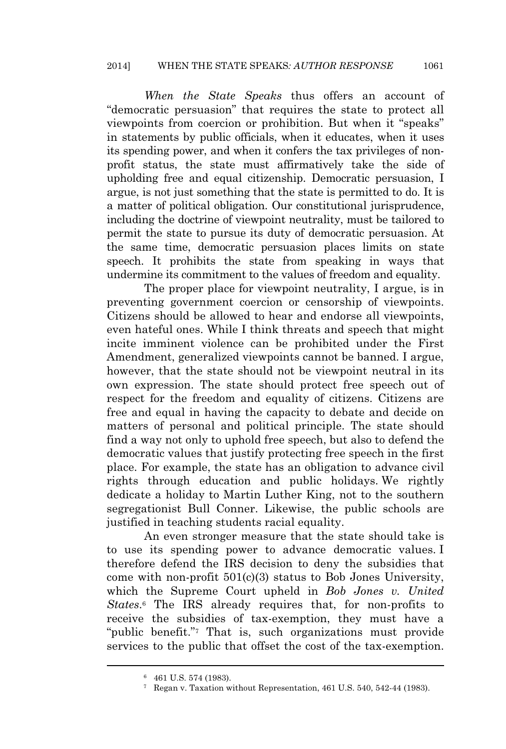*When the State Speaks* thus offers an account of "democratic persuasion" that requires the state to protect all viewpoints from coercion or prohibition. But when it "speaks" in statements by public officials, when it educates, when it uses its spending power, and when it confers the tax privileges of nonprofit status, the state must affirmatively take the side of upholding free and equal citizenship. Democratic persuasion, I argue, is not just something that the state is permitted to do. It is a matter of political obligation. Our constitutional jurisprudence, including the doctrine of viewpoint neutrality, must be tailored to permit the state to pursue its duty of democratic persuasion. At the same time, democratic persuasion places limits on state speech. It prohibits the state from speaking in ways that undermine its commitment to the values of freedom and equality.

The proper place for viewpoint neutrality, I argue, is in preventing government coercion or censorship of viewpoints. Citizens should be allowed to hear and endorse all viewpoints, even hateful ones. While I think threats and speech that might incite imminent violence can be prohibited under the First Amendment, generalized viewpoints cannot be banned. I argue, however, that the state should not be viewpoint neutral in its own expression. The state should protect free speech out of respect for the freedom and equality of citizens. Citizens are free and equal in having the capacity to debate and decide on matters of personal and political principle. The state should find a way not only to uphold free speech, but also to defend the democratic values that justify protecting free speech in the first place. For example, the state has an obligation to advance civil rights through education and public holidays. We rightly dedicate a holiday to Martin Luther King, not to the southern segregationist Bull Conner. Likewise, the public schools are justified in teaching students racial equality.

An even stronger measure that the state should take is to use its spending power to advance democratic values. I therefore defend the IRS decision to deny the subsidies that come with non-profit 501(c)(3) status to Bob Jones University, which the Supreme Court upheld in *Bob Jones v. United States*. <sup>6</sup> The IRS already requires that, for non-profits to receive the subsidies of tax-exemption, they must have a "public benefit."<sup>7</sup> That is, such organizations must provide services to the public that offset the cost of the tax-exemption.

<sup>6</sup> 461 U.S. 574 (1983).

<sup>7</sup> Regan v. Taxation without Representation, 461 U.S. 540, 542-44 (1983).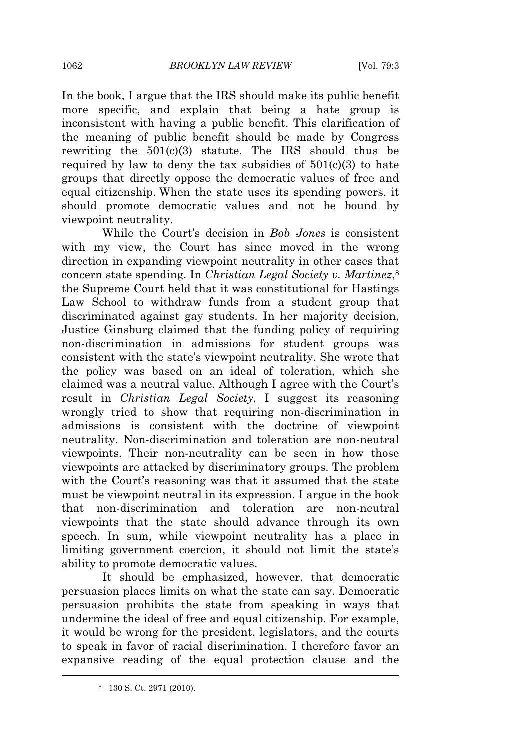In the book, I argue that the IRS should make its public benefit more specific, and explain that being a hate group is inconsistent with having a public benefit. This clarification of the meaning of public benefit should be made by Congress rewriting the  $501(c)(3)$  statute. The IRS should thus be required by law to deny the tax subsidies of  $501(c)(3)$  to hate groups that directly oppose the democratic values of free and equal citizenship. When the state uses its spending powers, it should promote democratic values and not be bound by viewpoint neutrality.

While the Court's decision in *Bob Jones* is consistent with my view, the Court has since moved in the wrong direction in expanding viewpoint neutrality in other cases that concern state spending. In *Christian Legal Society v. Martinez*, 8 the Supreme Court held that it was constitutional for Hastings Law School to withdraw funds from a student group that discriminated against gay students. In her majority decision, Justice Ginsburg claimed that the funding policy of requiring non-discrimination in admissions for student groups was consistent with the state's viewpoint neutrality. She wrote that the policy was based on an ideal of toleration, which she claimed was a neutral value. Although I agree with the Court's result in *Christian Legal Society*, I suggest its reasoning wrongly tried to show that requiring non-discrimination in admissions is consistent with the doctrine of viewpoint neutrality. Non-discrimination and toleration are non-neutral viewpoints. Their non-neutrality can be seen in how those viewpoints are attacked by discriminatory groups. The problem with the Court's reasoning was that it assumed that the state must be viewpoint neutral in its expression. I argue in the book that non-discrimination and toleration are non-neutral viewpoints that the state should advance through its own speech. In sum, while viewpoint neutrality has a place in limiting government coercion, it should not limit the state's ability to promote democratic values.

It should be emphasized, however, that democratic persuasion places limits on what the state can say. Democratic persuasion prohibits the state from speaking in ways that undermine the ideal of free and equal citizenship. For example, it would be wrong for the president, legislators, and the courts to speak in favor of racial discrimination. I therefore favor an expansive reading of the equal protection clause and the

<sup>8</sup> 130 S. Ct. 2971 (2010).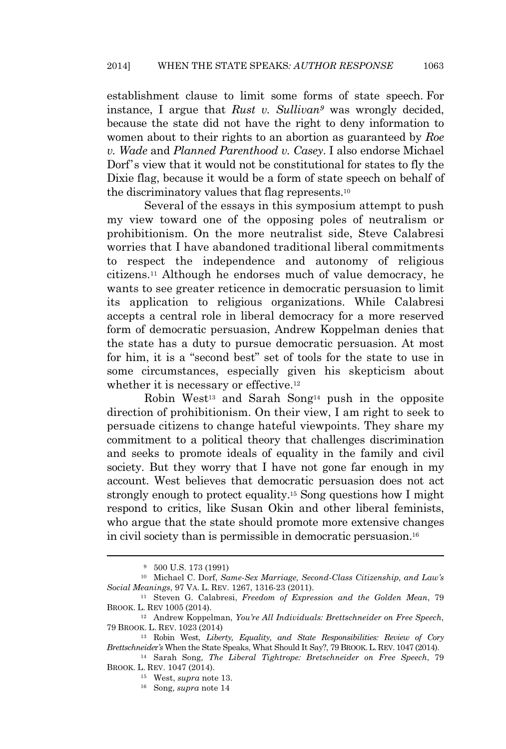establishment clause to limit some forms of state speech. For instance, I argue that *Rust v. Sullivan<sup>9</sup>* was wrongly decided, because the state did not have the right to deny information to women about to their rights to an abortion as guaranteed by *Roe v. Wade* and *Planned Parenthood v. Casey*. I also endorse Michael Dorf's view that it would not be constitutional for states to fly the Dixie flag, because it would be a form of state speech on behalf of the discriminatory values that flag represents.<sup>10</sup>

Several of the essays in this symposium attempt to push my view toward one of the opposing poles of neutralism or prohibitionism. On the more neutralist side, Steve Calabresi worries that I have abandoned traditional liberal commitments to respect the independence and autonomy of religious citizens.<sup>11</sup> Although he endorses much of value democracy, he wants to see greater reticence in democratic persuasion to limit its application to religious organizations. While Calabresi accepts a central role in liberal democracy for a more reserved form of democratic persuasion, Andrew Koppelman denies that the state has a duty to pursue democratic persuasion. At most for him, it is a "second best" set of tools for the state to use in some circumstances, especially given his skepticism about whether it is necessary or effective.<sup>12</sup>

Robin West<sup>13</sup> and Sarah Song<sup>14</sup> push in the opposite direction of prohibitionism. On their view, I am right to seek to persuade citizens to change hateful viewpoints. They share my commitment to a political theory that challenges discrimination and seeks to promote ideals of equality in the family and civil society. But they worry that I have not gone far enough in my account. West believes that democratic persuasion does not act strongly enough to protect equality.<sup>15</sup> Song questions how I might respond to critics, like Susan Okin and other liberal feminists, who argue that the state should promote more extensive changes in civil society than is permissible in democratic persuasion.<sup>16</sup>

<sup>9</sup> 500 U.S. 173 (1991)

<sup>10</sup> Michael C. Dorf, *Same-Sex Marriage, Second-Class Citizenship, and Law's Social Meanings*, 97 VA. L. REV. 1267, 1316-23 (2011).

<sup>11</sup> Steven G. Calabresi, *Freedom of Expression and the Golden Mean*, 79 BROOK. L. REV 1005 (2014).

<sup>12</sup> Andrew Koppelman, *You're All Individuals: Brettschneider on Free Speech*, 79 BROOK. L. REV. 1023 (2014)

<sup>13</sup> Robin West, *Liberty, Equality, and State Responsibilities: Review of Cory Brettschneide*r*'s* When the State Speaks, What Should It Say?, 79 BROOK.L. REV. 1047 (2014).

<sup>14</sup> Sarah Song, *The Liberal Tightrope: Bretschneider on Free Speech*, 79 BROOK. L. REV. 1047 (2014).

<sup>15</sup> West, *supra* note 13.

<sup>16</sup> Song, *supra* note 14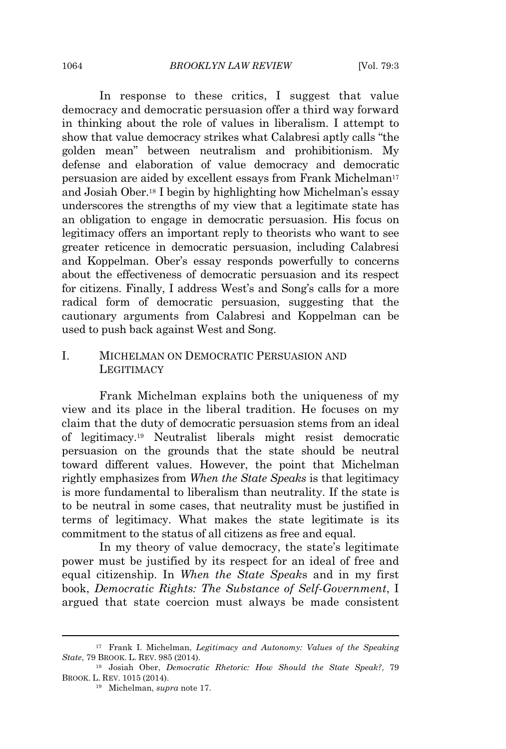In response to these critics, I suggest that value democracy and democratic persuasion offer a third way forward in thinking about the role of values in liberalism. I attempt to show that value democracy strikes what Calabresi aptly calls "the golden mean" between neutralism and prohibitionism. My defense and elaboration of value democracy and democratic persuasion are aided by excellent essays from Frank Michelman<sup>17</sup> and Josiah Ober.<sup>18</sup> I begin by highlighting how Michelman's essay underscores the strengths of my view that a legitimate state has an obligation to engage in democratic persuasion. His focus on legitimacy offers an important reply to theorists who want to see greater reticence in democratic persuasion, including Calabresi and Koppelman. Ober's essay responds powerfully to concerns about the effectiveness of democratic persuasion and its respect for citizens. Finally, I address West's and Song's calls for a more radical form of democratic persuasion, suggesting that the cautionary arguments from Calabresi and Koppelman can be used to push back against West and Song.

#### I. MICHELMAN ON DEMOCRATIC PERSUASION AND **LEGITIMACY**

Frank Michelman explains both the uniqueness of my view and its place in the liberal tradition. He focuses on my claim that the duty of democratic persuasion stems from an ideal of legitimacy.<sup>19</sup> Neutralist liberals might resist democratic persuasion on the grounds that the state should be neutral toward different values. However, the point that Michelman rightly emphasizes from *When the State Speaks* is that legitimacy is more fundamental to liberalism than neutrality. If the state is to be neutral in some cases, that neutrality must be justified in terms of legitimacy. What makes the state legitimate is its commitment to the status of all citizens as free and equal.

In my theory of value democracy, the state's legitimate power must be justified by its respect for an ideal of free and equal citizenship. In *When the State Speak*s and in my first book, *Democratic Rights: The Substance of Self-Government*, I argued that state coercion must always be made consistent

<sup>17</sup> Frank I. Michelman, *Legitimacy and Autonomy: Values of the Speaking State*, 79 BROOK. L. REV. 985 (2014).

<sup>18</sup> Josiah Ober, *Democratic Rhetoric: How Should the State Speak?*, 79 BROOK. L. REV. 1015 (2014).

<sup>19</sup> Michelman, *supra* note 17.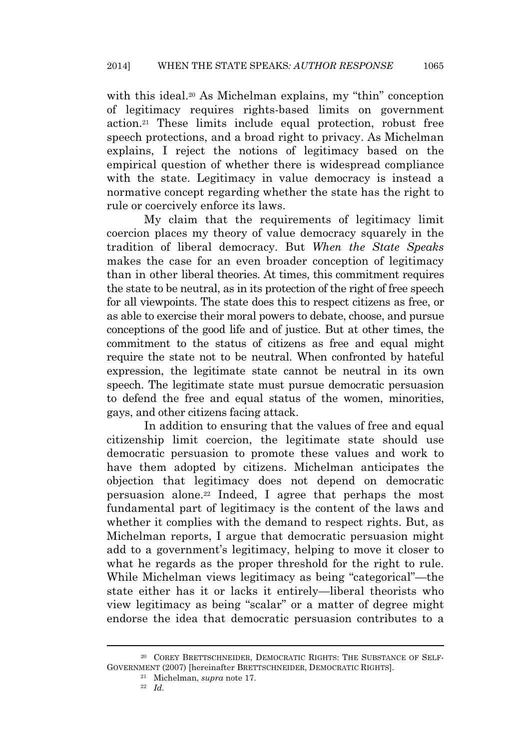with this ideal.<sup>20</sup> As Michelman explains, my "thin" conception of legitimacy requires rights-based limits on government action.<sup>21</sup> These limits include equal protection, robust free speech protections, and a broad right to privacy. As Michelman explains, I reject the notions of legitimacy based on the empirical question of whether there is widespread compliance with the state. Legitimacy in value democracy is instead a normative concept regarding whether the state has the right to rule or coercively enforce its laws.

My claim that the requirements of legitimacy limit coercion places my theory of value democracy squarely in the tradition of liberal democracy. But *When the State Speaks* makes the case for an even broader conception of legitimacy than in other liberal theories. At times, this commitment requires the state to be neutral, as in its protection of the right of free speech for all viewpoints. The state does this to respect citizens as free, or as able to exercise their moral powers to debate, choose, and pursue conceptions of the good life and of justice. But at other times, the commitment to the status of citizens as free and equal might require the state not to be neutral. When confronted by hateful expression, the legitimate state cannot be neutral in its own speech. The legitimate state must pursue democratic persuasion to defend the free and equal status of the women, minorities, gays, and other citizens facing attack.

In addition to ensuring that the values of free and equal citizenship limit coercion, the legitimate state should use democratic persuasion to promote these values and work to have them adopted by citizens. Michelman anticipates the objection that legitimacy does not depend on democratic persuasion alone.<sup>22</sup> Indeed, I agree that perhaps the most fundamental part of legitimacy is the content of the laws and whether it complies with the demand to respect rights. But, as Michelman reports, I argue that democratic persuasion might add to a government's legitimacy, helping to move it closer to what he regards as the proper threshold for the right to rule. While Michelman views legitimacy as being "categorical"—the state either has it or lacks it entirely—liberal theorists who view legitimacy as being "scalar" or a matter of degree might endorse the idea that democratic persuasion contributes to a

<sup>20</sup> COREY BRETTSCHNEIDER, DEMOCRATIC RIGHTS: THE SUBSTANCE OF SELF-GOVERNMENT (2007) [hereinafter BRETTSCHNEIDER, DEMOCRATIC RIGHTS].

<sup>21</sup> Michelman, *supra* note 17.

<sup>22</sup> *Id.*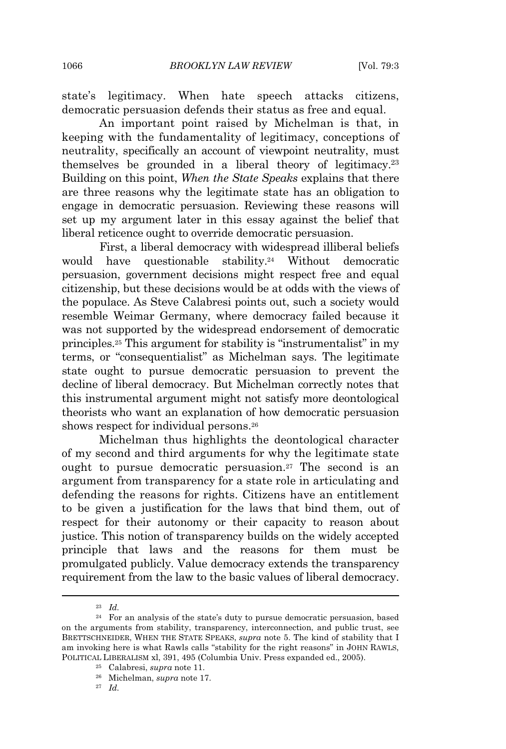state's legitimacy. When hate speech attacks citizens, democratic persuasion defends their status as free and equal.

An important point raised by Michelman is that, in keeping with the fundamentality of legitimacy, conceptions of neutrality, specifically an account of viewpoint neutrality, must themselves be grounded in a liberal theory of legitimacy.<sup>23</sup> Building on this point, *When the State Speaks* explains that there are three reasons why the legitimate state has an obligation to engage in democratic persuasion. Reviewing these reasons will set up my argument later in this essay against the belief that liberal reticence ought to override democratic persuasion.

First, a liberal democracy with widespread illiberal beliefs would have questionable stability.<sup>24</sup> Without democratic persuasion, government decisions might respect free and equal citizenship, but these decisions would be at odds with the views of the populace. As Steve Calabresi points out, such a society would resemble Weimar Germany, where democracy failed because it was not supported by the widespread endorsement of democratic principles.<sup>25</sup> This argument for stability is "instrumentalist" in my terms, or "consequentialist" as Michelman says. The legitimate state ought to pursue democratic persuasion to prevent the decline of liberal democracy. But Michelman correctly notes that this instrumental argument might not satisfy more deontological theorists who want an explanation of how democratic persuasion shows respect for individual persons.<sup>26</sup>

Michelman thus highlights the deontological character of my second and third arguments for why the legitimate state ought to pursue democratic persuasion.<sup>27</sup> The second is an argument from transparency for a state role in articulating and defending the reasons for rights. Citizens have an entitlement to be given a justification for the laws that bind them, out of respect for their autonomy or their capacity to reason about justice. This notion of transparency builds on the widely accepted principle that laws and the reasons for them must be promulgated publicly. Value democracy extends the transparency requirement from the law to the basic values of liberal democracy.

<sup>23</sup> *Id.*

<sup>24</sup> For an analysis of the state's duty to pursue democratic persuasion, based on the arguments from stability, transparency, interconnection, and public trust, see BRETTSCHNEIDER, WHEN THE STATE SPEAKS, *supra* note 5. The kind of stability that I am invoking here is what Rawls calls "stability for the right reasons" in JOHN RAWLS, POLITICAL LIBERALISM xl, 391, 495 (Columbia Univ. Press expanded ed., 2005).

<sup>25</sup> Calabresi, *supra* note 11.

<sup>26</sup> Michelman, *supra* note 17.

<sup>27</sup> *Id.*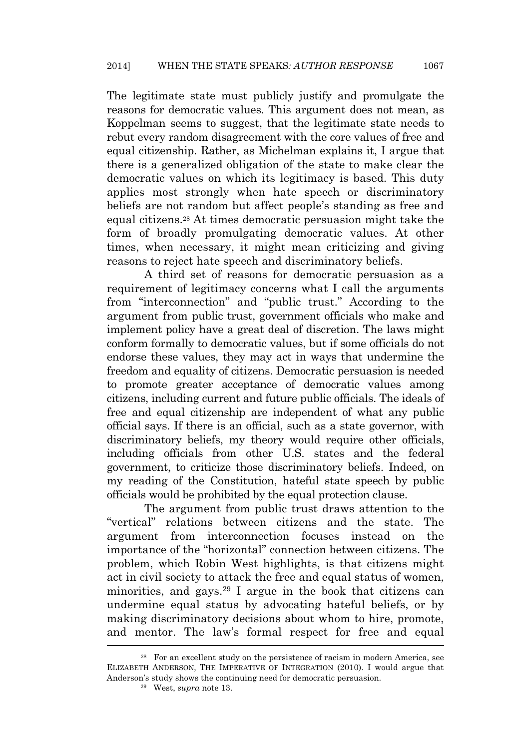The legitimate state must publicly justify and promulgate the reasons for democratic values. This argument does not mean, as Koppelman seems to suggest, that the legitimate state needs to rebut every random disagreement with the core values of free and equal citizenship. Rather, as Michelman explains it, I argue that there is a generalized obligation of the state to make clear the democratic values on which its legitimacy is based. This duty applies most strongly when hate speech or discriminatory beliefs are not random but affect people's standing as free and equal citizens.<sup>28</sup> At times democratic persuasion might take the form of broadly promulgating democratic values. At other times, when necessary, it might mean criticizing and giving reasons to reject hate speech and discriminatory beliefs.

A third set of reasons for democratic persuasion as a requirement of legitimacy concerns what I call the arguments from "interconnection" and "public trust." According to the argument from public trust, government officials who make and implement policy have a great deal of discretion. The laws might conform formally to democratic values, but if some officials do not endorse these values, they may act in ways that undermine the freedom and equality of citizens. Democratic persuasion is needed to promote greater acceptance of democratic values among citizens, including current and future public officials. The ideals of free and equal citizenship are independent of what any public official says. If there is an official, such as a state governor, with discriminatory beliefs, my theory would require other officials, including officials from other U.S. states and the federal government, to criticize those discriminatory beliefs. Indeed, on my reading of the Constitution, hateful state speech by public officials would be prohibited by the equal protection clause.

The argument from public trust draws attention to the "vertical" relations between citizens and the state. The argument from interconnection focuses instead on the importance of the "horizontal" connection between citizens. The problem, which Robin West highlights, is that citizens might act in civil society to attack the free and equal status of women, minorities, and gays.<sup>29</sup> I argue in the book that citizens can undermine equal status by advocating hateful beliefs, or by making discriminatory decisions about whom to hire, promote, and mentor. The law's formal respect for free and equal

<sup>28</sup> For an excellent study on the persistence of racism in modern America, see ELIZABETH ANDERSON, THE IMPERATIVE OF INTEGRATION (2010). I would argue that Anderson's study shows the continuing need for democratic persuasion.

<sup>29</sup> West, *supra* note 13.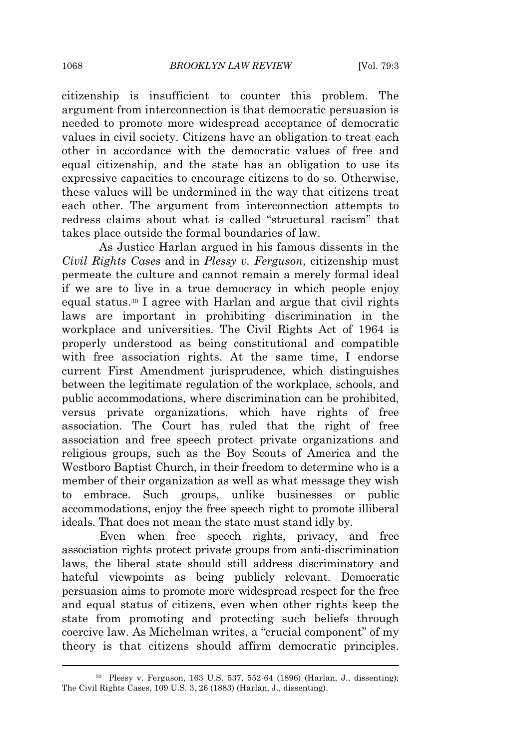citizenship is insufficient to counter this problem. The argument from interconnection is that democratic persuasion is needed to promote more widespread acceptance of democratic values in civil society. Citizens have an obligation to treat each other in accordance with the democratic values of free and equal citizenship, and the state has an obligation to use its expressive capacities to encourage citizens to do so. Otherwise, these values will be undermined in the way that citizens treat each other. The argument from interconnection attempts to redress claims about what is called "structural racism" that takes place outside the formal boundaries of law.

As Justice Harlan argued in his famous dissents in the *Civil Rights Cases* and in *Plessy v. Ferguson*, citizenship must permeate the culture and cannot remain a merely formal ideal if we are to live in a true democracy in which people enjoy equal status.<sup>30</sup> I agree with Harlan and argue that civil rights laws are important in prohibiting discrimination in the workplace and universities. The Civil Rights Act of 1964 is properly understood as being constitutional and compatible with free association rights. At the same time, I endorse current First Amendment jurisprudence, which distinguishes between the legitimate regulation of the workplace, schools, and public accommodations, where discrimination can be prohibited, versus private organizations, which have rights of free association. The Court has ruled that the right of free association and free speech protect private organizations and religious groups, such as the Boy Scouts of America and the Westboro Baptist Church, in their freedom to determine who is a member of their organization as well as what message they wish to embrace. Such groups, unlike businesses or public accommodations, enjoy the free speech right to promote illiberal ideals. That does not mean the state must stand idly by.

Even when free speech rights, privacy, and free association rights protect private groups from anti-discrimination laws, the liberal state should still address discriminatory and hateful viewpoints as being publicly relevant. Democratic persuasion aims to promote more widespread respect for the free and equal status of citizens, even when other rights keep the state from promoting and protecting such beliefs through coercive law. As Michelman writes, a "crucial component" of my theory is that citizens should affirm democratic principles.

 $30$  Plessy v. Ferguson, 163 U.S. 537, 552-64 (1896) (Harlan, J., dissenting); The Civil Rights Cases, 109 U.S. 3, 26 (1883) (Harlan, J., dissenting).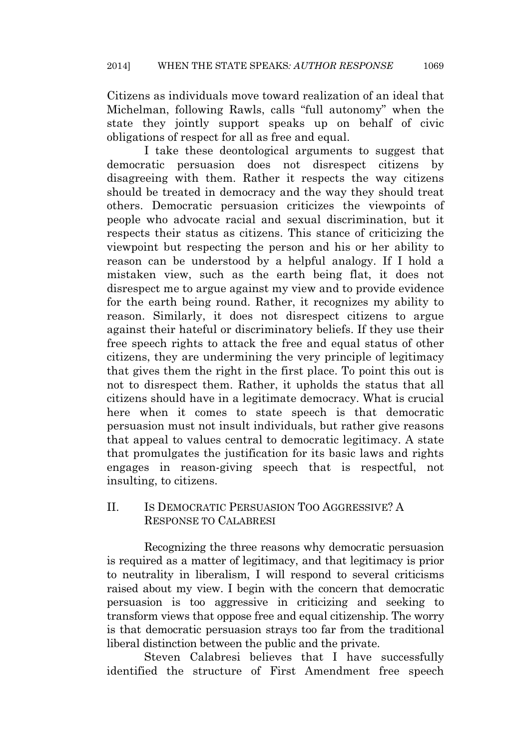Citizens as individuals move toward realization of an ideal that Michelman, following Rawls, calls "full autonomy" when the state they jointly support speaks up on behalf of civic obligations of respect for all as free and equal.

I take these deontological arguments to suggest that democratic persuasion does not disrespect citizens by disagreeing with them. Rather it respects the way citizens should be treated in democracy and the way they should treat others. Democratic persuasion criticizes the viewpoints of people who advocate racial and sexual discrimination, but it respects their status as citizens. This stance of criticizing the viewpoint but respecting the person and his or her ability to reason can be understood by a helpful analogy. If I hold a mistaken view, such as the earth being flat, it does not disrespect me to argue against my view and to provide evidence for the earth being round. Rather, it recognizes my ability to reason. Similarly, it does not disrespect citizens to argue against their hateful or discriminatory beliefs. If they use their free speech rights to attack the free and equal status of other citizens, they are undermining the very principle of legitimacy that gives them the right in the first place. To point this out is not to disrespect them. Rather, it upholds the status that all citizens should have in a legitimate democracy. What is crucial here when it comes to state speech is that democratic persuasion must not insult individuals, but rather give reasons that appeal to values central to democratic legitimacy. A state that promulgates the justification for its basic laws and rights engages in reason-giving speech that is respectful, not insulting, to citizens.

#### II. IS DEMOCRATIC PERSUASION TOO AGGRESSIVE? A RESPONSE TO CALABRESI

Recognizing the three reasons why democratic persuasion is required as a matter of legitimacy, and that legitimacy is prior to neutrality in liberalism, I will respond to several criticisms raised about my view. I begin with the concern that democratic persuasion is too aggressive in criticizing and seeking to transform views that oppose free and equal citizenship. The worry is that democratic persuasion strays too far from the traditional liberal distinction between the public and the private.

Steven Calabresi believes that I have successfully identified the structure of First Amendment free speech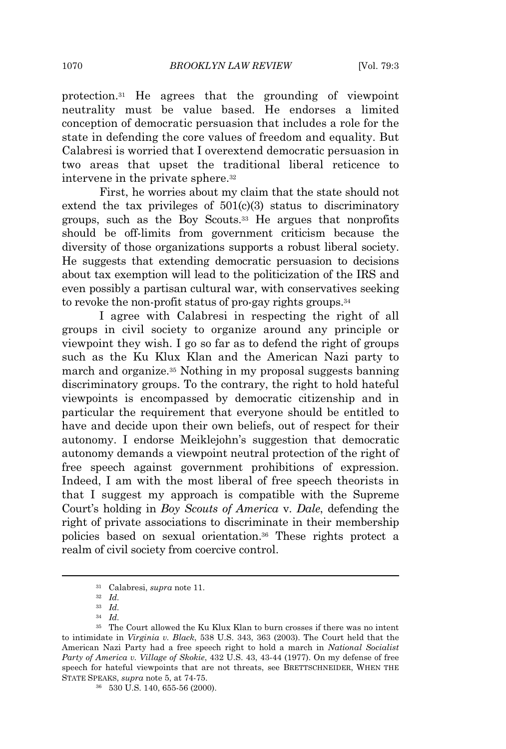protection.<sup>31</sup> He agrees that the grounding of viewpoint neutrality must be value based. He endorses a limited conception of democratic persuasion that includes a role for the state in defending the core values of freedom and equality. But Calabresi is worried that I overextend democratic persuasion in two areas that upset the traditional liberal reticence to intervene in the private sphere.<sup>32</sup>

First, he worries about my claim that the state should not extend the tax privileges of  $501(c)(3)$  status to discriminatory groups, such as the Boy Scouts.<sup>33</sup> He argues that nonprofits should be off-limits from government criticism because the diversity of those organizations supports a robust liberal society. He suggests that extending democratic persuasion to decisions about tax exemption will lead to the politicization of the IRS and even possibly a partisan cultural war, with conservatives seeking to revoke the non-profit status of pro-gay rights groups.<sup>34</sup>

I agree with Calabresi in respecting the right of all groups in civil society to organize around any principle or viewpoint they wish. I go so far as to defend the right of groups such as the Ku Klux Klan and the American Nazi party to march and organize.<sup>35</sup> Nothing in my proposal suggests banning discriminatory groups. To the contrary, the right to hold hateful viewpoints is encompassed by democratic citizenship and in particular the requirement that everyone should be entitled to have and decide upon their own beliefs, out of respect for their autonomy. I endorse Meiklejohn's suggestion that democratic autonomy demands a viewpoint neutral protection of the right of free speech against government prohibitions of expression. Indeed, I am with the most liberal of free speech theorists in that I suggest my approach is compatible with the Supreme Court's holding in *Boy Scouts of America* v. *Dale*, defending the right of private associations to discriminate in their membership policies based on sexual orientation.<sup>36</sup> These rights protect a realm of civil society from coercive control.

<sup>31</sup> Calabresi, *supra* note 11.

<sup>32</sup> *Id.*

<sup>33</sup> *Id.* <sup>34</sup> *Id.*

<sup>35</sup> The Court allowed the Ku Klux Klan to burn crosses if there was no intent to intimidate in *Virginia v. Black*, 538 U.S. 343, 363 (2003). The Court held that the American Nazi Party had a free speech right to hold a march in *National Socialist Party of America v. Village of Skokie*, 432 U.S. 43, 43-44 (1977). On my defense of free speech for hateful viewpoints that are not threats, see BRETTSCHNEIDER, WHEN THE STATE SPEAKS, *supra* note 5, at 74-75.

<sup>36</sup> 530 U.S. 140, 655-56 (2000).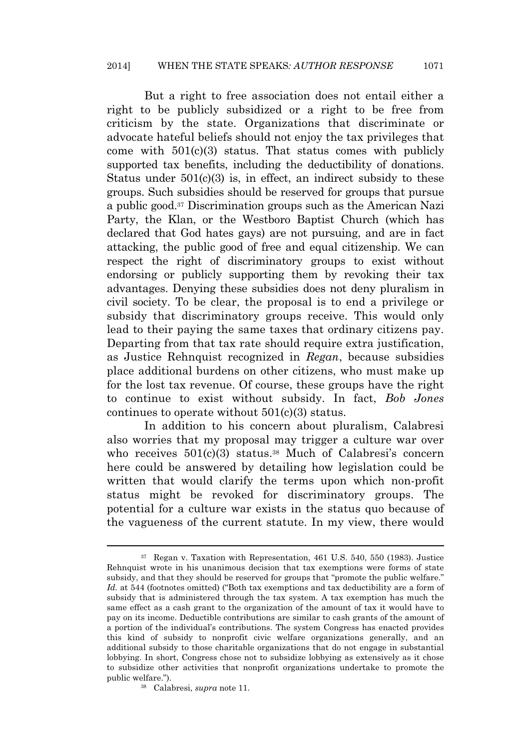But a right to free association does not entail either a right to be publicly subsidized or a right to be free from criticism by the state. Organizations that discriminate or advocate hateful beliefs should not enjoy the tax privileges that come with  $501(c)(3)$  status. That status comes with publicly supported tax benefits, including the deductibility of donations. Status under  $501(c)(3)$  is, in effect, an indirect subsidy to these groups. Such subsidies should be reserved for groups that pursue a public good.<sup>37</sup> Discrimination groups such as the American Nazi Party, the Klan, or the Westboro Baptist Church (which has declared that God hates gays) are not pursuing, and are in fact attacking, the public good of free and equal citizenship. We can respect the right of discriminatory groups to exist without endorsing or publicly supporting them by revoking their tax advantages. Denying these subsidies does not deny pluralism in civil society. To be clear, the proposal is to end a privilege or subsidy that discriminatory groups receive. This would only lead to their paying the same taxes that ordinary citizens pay. Departing from that tax rate should require extra justification, as Justice Rehnquist recognized in *Regan*, because subsidies place additional burdens on other citizens, who must make up for the lost tax revenue. Of course, these groups have the right to continue to exist without subsidy. In fact, *Bob Jones* continues to operate without 501(c)(3) status.

In addition to his concern about pluralism, Calabresi also worries that my proposal may trigger a culture war over who receives  $501(c)(3)$  status.<sup>38</sup> Much of Calabresi's concern here could be answered by detailing how legislation could be written that would clarify the terms upon which non-profit status might be revoked for discriminatory groups. The potential for a culture war exists in the status quo because of the vagueness of the current statute. In my view, there would

<sup>37</sup> Regan v. Taxation with Representation, 461 U.S. 540, 550 (1983). Justice Rehnquist wrote in his unanimous decision that tax exemptions were forms of state subsidy, and that they should be reserved for groups that "promote the public welfare." *Id.* at 544 (footnotes omitted) ("Both tax exemptions and tax deductibility are a form of subsidy that is administered through the tax system. A tax exemption has much the same effect as a cash grant to the organization of the amount of tax it would have to pay on its income. Deductible contributions are similar to cash grants of the amount of a portion of the individual's contributions. The system Congress has enacted provides this kind of subsidy to nonprofit civic welfare organizations generally, and an additional subsidy to those charitable organizations that do not engage in substantial lobbying. In short, Congress chose not to subsidize lobbying as extensively as it chose to subsidize other activities that nonprofit organizations undertake to promote the public welfare.").

<sup>38</sup> Calabresi, *supra* note 11.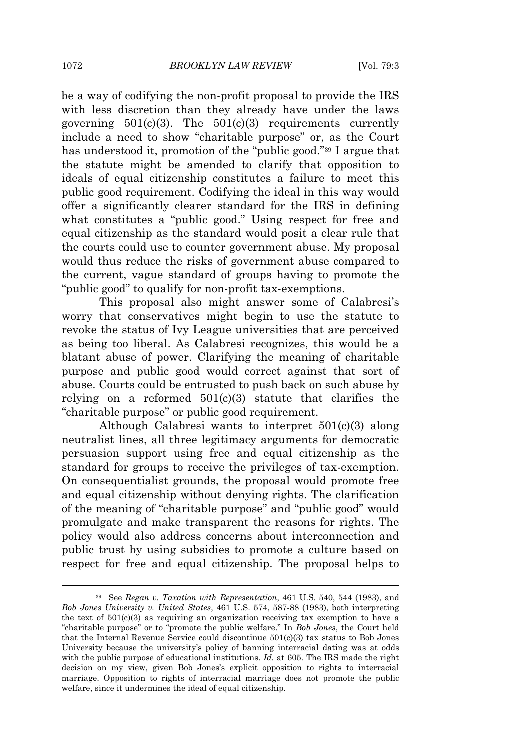be a way of codifying the non-profit proposal to provide the IRS with less discretion than they already have under the laws governing  $501(c)(3)$ . The  $501(c)(3)$  requirements currently include a need to show "charitable purpose" or, as the Court has understood it, promotion of the "public good." <sup>39</sup> I argue that the statute might be amended to clarify that opposition to ideals of equal citizenship constitutes a failure to meet this public good requirement. Codifying the ideal in this way would offer a significantly clearer standard for the IRS in defining what constitutes a "public good." Using respect for free and equal citizenship as the standard would posit a clear rule that the courts could use to counter government abuse. My proposal would thus reduce the risks of government abuse compared to the current, vague standard of groups having to promote the "public good" to qualify for non-profit tax-exemptions.

This proposal also might answer some of Calabresi's worry that conservatives might begin to use the statute to revoke the status of Ivy League universities that are perceived as being too liberal. As Calabresi recognizes, this would be a blatant abuse of power. Clarifying the meaning of charitable purpose and public good would correct against that sort of abuse. Courts could be entrusted to push back on such abuse by relying on a reformed 501(c)(3) statute that clarifies the "charitable purpose" or public good requirement.

Although Calabresi wants to interpret 501(c)(3) along neutralist lines, all three legitimacy arguments for democratic persuasion support using free and equal citizenship as the standard for groups to receive the privileges of tax-exemption. On consequentialist grounds, the proposal would promote free and equal citizenship without denying rights. The clarification of the meaning of "charitable purpose" and "public good" would promulgate and make transparent the reasons for rights. The policy would also address concerns about interconnection and public trust by using subsidies to promote a culture based on respect for free and equal citizenship. The proposal helps to

<sup>39</sup> See *Regan v. Taxation with Representation*, 461 U.S. 540, 544 (1983), and *Bob Jones University v. United States*, 461 U.S. 574, 587-88 (1983), both interpreting the text of  $501(c)(3)$  as requiring an organization receiving tax exemption to have a "charitable purpose" or to "promote the public welfare." In *Bob Jones*, the Court held that the Internal Revenue Service could discontinue 501(c)(3) tax status to Bob Jones University because the university's policy of banning interracial dating was at odds with the public purpose of educational institutions. *Id.* at 605. The IRS made the right decision on my view, given Bob Jones's explicit opposition to rights to interracial marriage. Opposition to rights of interracial marriage does not promote the public welfare, since it undermines the ideal of equal citizenship.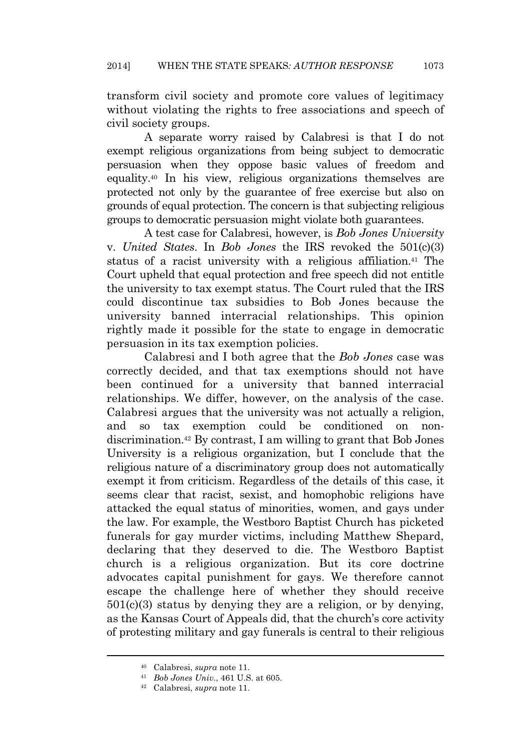transform civil society and promote core values of legitimacy without violating the rights to free associations and speech of civil society groups.

A separate worry raised by Calabresi is that I do not exempt religious organizations from being subject to democratic persuasion when they oppose basic values of freedom and equality.<sup>40</sup> In his view, religious organizations themselves are protected not only by the guarantee of free exercise but also on grounds of equal protection. The concern is that subjecting religious groups to democratic persuasion might violate both guarantees.

A test case for Calabresi, however, is *Bob Jones University* v. *United States*. In *Bob Jones* the IRS revoked the 501(c)(3) status of a racist university with a religious affiliation.<sup>41</sup> The Court upheld that equal protection and free speech did not entitle the university to tax exempt status. The Court ruled that the IRS could discontinue tax subsidies to Bob Jones because the university banned interracial relationships. This opinion rightly made it possible for the state to engage in democratic persuasion in its tax exemption policies.

Calabresi and I both agree that the *Bob Jones* case was correctly decided, and that tax exemptions should not have been continued for a university that banned interracial relationships. We differ, however, on the analysis of the case. Calabresi argues that the university was not actually a religion, and so tax exemption could be conditioned on nondiscrimination.<sup>42</sup> By contrast, I am willing to grant that Bob Jones University is a religious organization, but I conclude that the religious nature of a discriminatory group does not automatically exempt it from criticism. Regardless of the details of this case, it seems clear that racist, sexist, and homophobic religions have attacked the equal status of minorities, women, and gays under the law. For example, the Westboro Baptist Church has picketed funerals for gay murder victims, including Matthew Shepard, declaring that they deserved to die. The Westboro Baptist church is a religious organization. But its core doctrine advocates capital punishment for gays. We therefore cannot escape the challenge here of whether they should receive  $501(c)(3)$  status by denying they are a religion, or by denying, as the Kansas Court of Appeals did, that the church's core activity of protesting military and gay funerals is central to their religious

<sup>40</sup> Calabresi, *supra* note 11.

<sup>41</sup> *Bob Jones Univ.*, 461 U.S. at 605.

<sup>42</sup> Calabresi, *supra* note 11.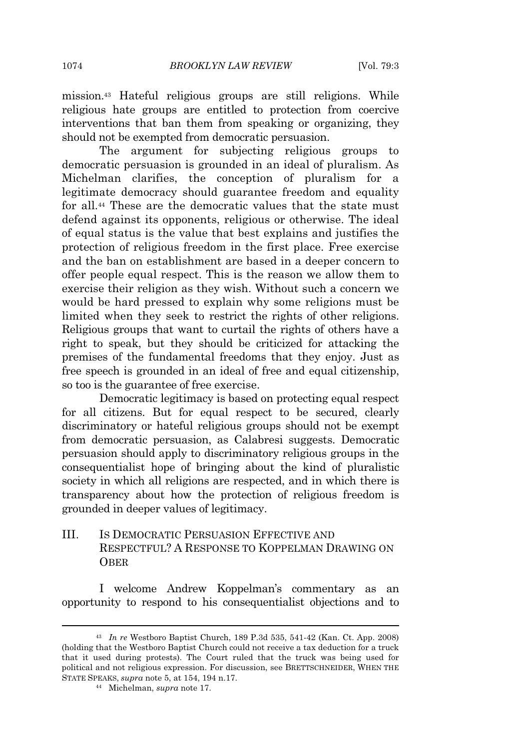mission.<sup>43</sup> Hateful religious groups are still religions. While religious hate groups are entitled to protection from coercive interventions that ban them from speaking or organizing, they should not be exempted from democratic persuasion.

The argument for subjecting religious groups to democratic persuasion is grounded in an ideal of pluralism. As Michelman clarifies, the conception of pluralism for a legitimate democracy should guarantee freedom and equality for all.<sup>44</sup> These are the democratic values that the state must defend against its opponents, religious or otherwise. The ideal of equal status is the value that best explains and justifies the protection of religious freedom in the first place. Free exercise and the ban on establishment are based in a deeper concern to offer people equal respect. This is the reason we allow them to exercise their religion as they wish. Without such a concern we would be hard pressed to explain why some religions must be limited when they seek to restrict the rights of other religions. Religious groups that want to curtail the rights of others have a right to speak, but they should be criticized for attacking the premises of the fundamental freedoms that they enjoy. Just as free speech is grounded in an ideal of free and equal citizenship, so too is the guarantee of free exercise.

Democratic legitimacy is based on protecting equal respect for all citizens. But for equal respect to be secured, clearly discriminatory or hateful religious groups should not be exempt from democratic persuasion, as Calabresi suggests. Democratic persuasion should apply to discriminatory religious groups in the consequentialist hope of bringing about the kind of pluralistic society in which all religions are respected, and in which there is transparency about how the protection of religious freedom is grounded in deeper values of legitimacy.

#### III. IS DEMOCRATIC PERSUASION EFFECTIVE AND RESPECTFUL? A RESPONSE TO KOPPELMAN DRAWING ON **OBER**

I welcome Andrew Koppelman's commentary as an opportunity to respond to his consequentialist objections and to

<sup>43</sup> *In re* Westboro Baptist Church, 189 P.3d 535, 541-42 (Kan. Ct. App. 2008) (holding that the Westboro Baptist Church could not receive a tax deduction for a truck that it used during protests). The Court ruled that the truck was being used for political and not religious expression. For discussion, see BRETTSCHNEIDER, WHEN THE STATE SPEAKS, *supra* note 5, at 154, 194 n.17.

<sup>44</sup> Michelman, *supra* note 17.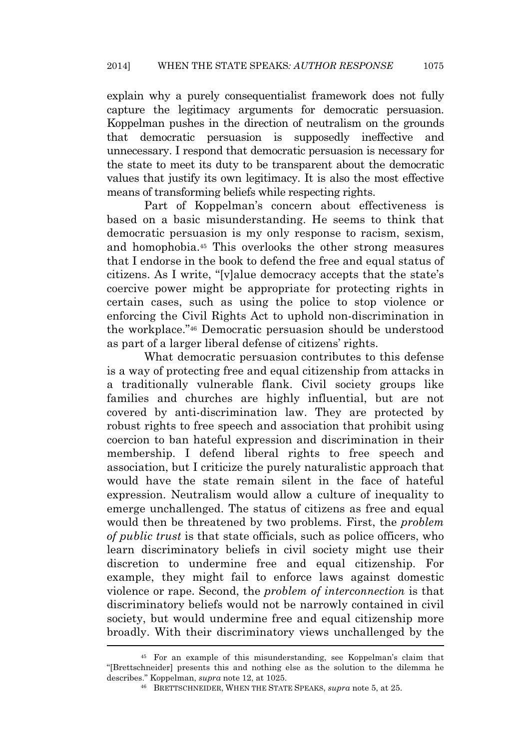explain why a purely consequentialist framework does not fully capture the legitimacy arguments for democratic persuasion. Koppelman pushes in the direction of neutralism on the grounds that democratic persuasion is supposedly ineffective and unnecessary. I respond that democratic persuasion is necessary for the state to meet its duty to be transparent about the democratic values that justify its own legitimacy. It is also the most effective means of transforming beliefs while respecting rights.

Part of Koppelman's concern about effectiveness is based on a basic misunderstanding. He seems to think that democratic persuasion is my only response to racism, sexism, and homophobia.<sup>45</sup> This overlooks the other strong measures that I endorse in the book to defend the free and equal status of citizens. As I write, "[v]alue democracy accepts that the state's coercive power might be appropriate for protecting rights in certain cases, such as using the police to stop violence or enforcing the Civil Rights Act to uphold non-discrimination in the workplace." <sup>46</sup> Democratic persuasion should be understood as part of a larger liberal defense of citizens' rights.

What democratic persuasion contributes to this defense is a way of protecting free and equal citizenship from attacks in a traditionally vulnerable flank. Civil society groups like families and churches are highly influential, but are not covered by anti-discrimination law. They are protected by robust rights to free speech and association that prohibit using coercion to ban hateful expression and discrimination in their membership. I defend liberal rights to free speech and association, but I criticize the purely naturalistic approach that would have the state remain silent in the face of hateful expression. Neutralism would allow a culture of inequality to emerge unchallenged. The status of citizens as free and equal would then be threatened by two problems. First, the *problem of public trust* is that state officials, such as police officers, who learn discriminatory beliefs in civil society might use their discretion to undermine free and equal citizenship. For example, they might fail to enforce laws against domestic violence or rape. Second, the *problem of interconnection* is that discriminatory beliefs would not be narrowly contained in civil society, but would undermine free and equal citizenship more broadly. With their discriminatory views unchallenged by the

<sup>45</sup> For an example of this misunderstanding, see Koppelman's claim that "[Brettschneider] presents this and nothing else as the solution to the dilemma he describes." Koppelman, *supra* note 12, at 1025.

<sup>46</sup> BRETTSCHNEIDER, WHEN THE STATE SPEAKS, *supra* note 5, at 25.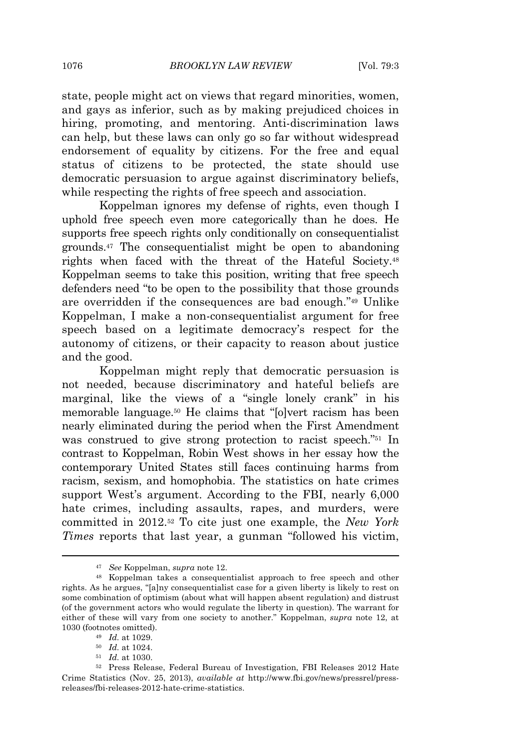state, people might act on views that regard minorities, women, and gays as inferior, such as by making prejudiced choices in hiring, promoting, and mentoring. Anti-discrimination laws can help, but these laws can only go so far without widespread endorsement of equality by citizens. For the free and equal status of citizens to be protected, the state should use democratic persuasion to argue against discriminatory beliefs, while respecting the rights of free speech and association.

Koppelman ignores my defense of rights, even though I uphold free speech even more categorically than he does. He supports free speech rights only conditionally on consequentialist grounds.<sup>47</sup> The consequentialist might be open to abandoning rights when faced with the threat of the Hateful Society.<sup>48</sup> Koppelman seems to take this position, writing that free speech defenders need "to be open to the possibility that those grounds are overridden if the consequences are bad enough." <sup>49</sup> Unlike Koppelman, I make a non-consequentialist argument for free speech based on a legitimate democracy's respect for the autonomy of citizens, or their capacity to reason about justice and the good.

Koppelman might reply that democratic persuasion is not needed, because discriminatory and hateful beliefs are marginal, like the views of a "single lonely crank" in his memorable language.<sup>50</sup> He claims that "[o]vert racism has been nearly eliminated during the period when the First Amendment was construed to give strong protection to racist speech." <sup>51</sup> In contrast to Koppelman, Robin West shows in her essay how the contemporary United States still faces continuing harms from racism, sexism, and homophobia. The statistics on hate crimes support West's argument. According to the FBI, nearly 6,000 hate crimes, including assaults, rapes, and murders, were committed in 2012.<sup>52</sup> To cite just one example, the *New York Times* reports that last year, a gunman "followed his victim,

<sup>47</sup> *See* Koppelman, *supra* note 12.

<sup>48</sup> Koppelman takes a consequentialist approach to free speech and other rights. As he argues, "[a]ny consequentialist case for a given liberty is likely to rest on some combination of optimism (about what will happen absent regulation) and distrust (of the government actors who would regulate the liberty in question). The warrant for either of these will vary from one society to another." Koppelman, *supra* note 12, at 1030 (footnotes omitted).

<sup>49</sup> *Id.* at 1029.

<sup>50</sup> *Id.* at 1024.

<sup>51</sup> *Id.* at 1030.

<sup>52</sup> Press Release, Federal Bureau of Investigation, FBI Releases 2012 Hate Crime Statistics (Nov. 25, 2013), *available at* http://www.fbi.gov/news/pressrel/pressreleases/fbi-releases-2012-hate-crime-statistics.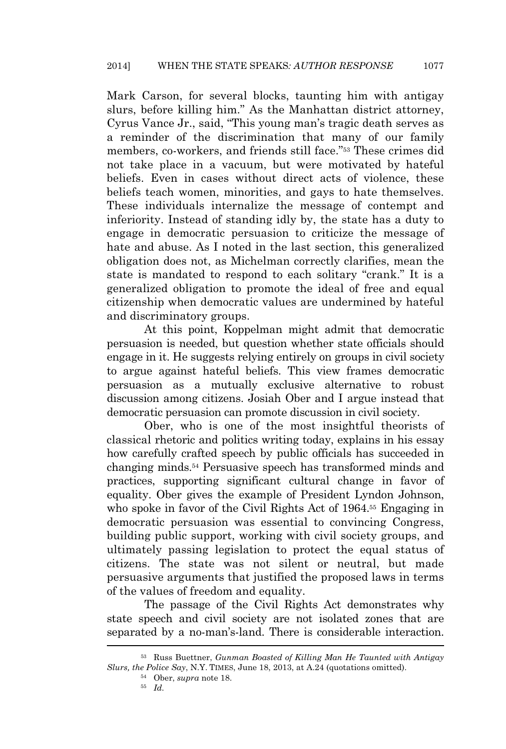Mark Carson, for several blocks, taunting him with antigay slurs, before killing him." As the Manhattan district attorney, Cyrus Vance Jr., said, "This young man's tragic death serves as a reminder of the discrimination that many of our family members, co-workers, and friends still face." <sup>53</sup> These crimes did not take place in a vacuum, but were motivated by hateful beliefs. Even in cases without direct acts of violence, these beliefs teach women, minorities, and gays to hate themselves. These individuals internalize the message of contempt and inferiority. Instead of standing idly by, the state has a duty to engage in democratic persuasion to criticize the message of hate and abuse. As I noted in the last section, this generalized obligation does not, as Michelman correctly clarifies, mean the state is mandated to respond to each solitary "crank." It is a generalized obligation to promote the ideal of free and equal citizenship when democratic values are undermined by hateful and discriminatory groups.

At this point, Koppelman might admit that democratic persuasion is needed, but question whether state officials should engage in it. He suggests relying entirely on groups in civil society to argue against hateful beliefs. This view frames democratic persuasion as a mutually exclusive alternative to robust discussion among citizens. Josiah Ober and I argue instead that democratic persuasion can promote discussion in civil society.

Ober, who is one of the most insightful theorists of classical rhetoric and politics writing today, explains in his essay how carefully crafted speech by public officials has succeeded in changing minds.<sup>54</sup> Persuasive speech has transformed minds and practices, supporting significant cultural change in favor of equality. Ober gives the example of President Lyndon Johnson, who spoke in favor of the Civil Rights Act of 1964.<sup>55</sup> Engaging in democratic persuasion was essential to convincing Congress, building public support, working with civil society groups, and ultimately passing legislation to protect the equal status of citizens. The state was not silent or neutral, but made persuasive arguments that justified the proposed laws in terms of the values of freedom and equality.

The passage of the Civil Rights Act demonstrates why state speech and civil society are not isolated zones that are separated by a no-man's-land. There is considerable interaction.

<sup>53</sup> Russ Buettner, *Gunman Boasted of Killing Man He Taunted with Antigay Slurs, the Police Say*, N.Y. TIMES, June 18, 2013, at A.24 (quotations omitted).

<sup>54</sup> Ober, *supra* note 18.

<sup>55</sup> *Id.*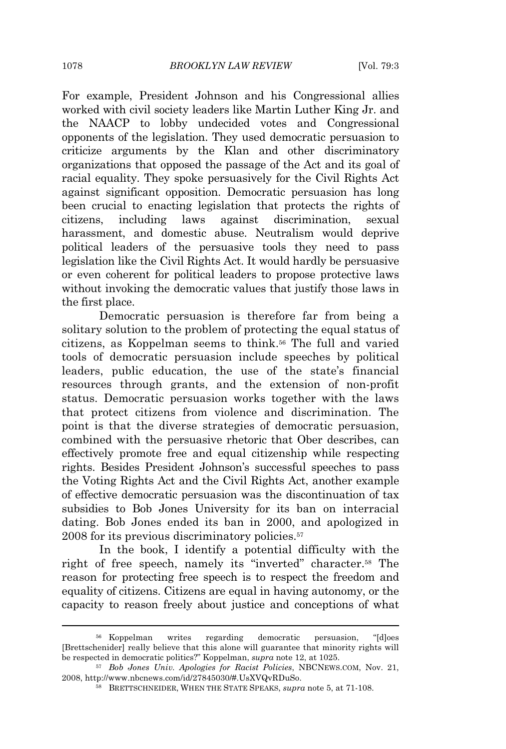For example, President Johnson and his Congressional allies worked with civil society leaders like Martin Luther King Jr. and the NAACP to lobby undecided votes and Congressional opponents of the legislation. They used democratic persuasion to criticize arguments by the Klan and other discriminatory organizations that opposed the passage of the Act and its goal of racial equality. They spoke persuasively for the Civil Rights Act against significant opposition. Democratic persuasion has long been crucial to enacting legislation that protects the rights of citizens, including laws against discrimination, sexual harassment, and domestic abuse. Neutralism would deprive political leaders of the persuasive tools they need to pass legislation like the Civil Rights Act. It would hardly be persuasive or even coherent for political leaders to propose protective laws without invoking the democratic values that justify those laws in the first place.

Democratic persuasion is therefore far from being a solitary solution to the problem of protecting the equal status of citizens, as Koppelman seems to think.<sup>56</sup> The full and varied tools of democratic persuasion include speeches by political leaders, public education, the use of the state's financial resources through grants, and the extension of non-profit status. Democratic persuasion works together with the laws that protect citizens from violence and discrimination. The point is that the diverse strategies of democratic persuasion, combined with the persuasive rhetoric that Ober describes, can effectively promote free and equal citizenship while respecting rights. Besides President Johnson's successful speeches to pass the Voting Rights Act and the Civil Rights Act, another example of effective democratic persuasion was the discontinuation of tax subsidies to Bob Jones University for its ban on interracial dating. Bob Jones ended its ban in 2000, and apologized in 2008 for its previous discriminatory policies.<sup>57</sup>

In the book, I identify a potential difficulty with the right of free speech, namely its "inverted" character.<sup>58</sup> The reason for protecting free speech is to respect the freedom and equality of citizens. Citizens are equal in having autonomy, or the capacity to reason freely about justice and conceptions of what

<sup>56</sup> Koppelman writes regarding democratic persuasion, "[d]oes [Brettschenider] really believe that this alone will guarantee that minority rights will be respected in democratic politics?" Koppelman, *supra* note 12, at 1025.

<sup>57</sup> *Bob Jones Univ. Apologies for Racist Policies*, NBCNEWS.COM, Nov. 21, 2008, http://www.nbcnews.com/id/27845030/#.UsXVQvRDuSo.

<sup>58</sup> BRETTSCHNEIDER, WHEN THE STATE SPEAKS, *supra* note 5, at 71-108.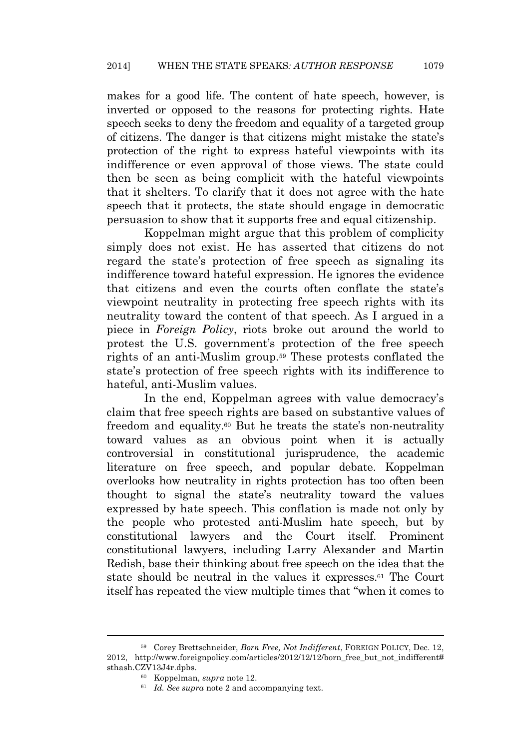makes for a good life. The content of hate speech, however, is inverted or opposed to the reasons for protecting rights. Hate speech seeks to deny the freedom and equality of a targeted group of citizens. The danger is that citizens might mistake the state's protection of the right to express hateful viewpoints with its indifference or even approval of those views. The state could then be seen as being complicit with the hateful viewpoints that it shelters. To clarify that it does not agree with the hate speech that it protects, the state should engage in democratic persuasion to show that it supports free and equal citizenship.

Koppelman might argue that this problem of complicity simply does not exist. He has asserted that citizens do not regard the state's protection of free speech as signaling its indifference toward hateful expression. He ignores the evidence that citizens and even the courts often conflate the state's viewpoint neutrality in protecting free speech rights with its neutrality toward the content of that speech. As I argued in a piece in *Foreign Policy*, riots broke out around the world to protest the U.S. government's protection of the free speech rights of an anti-Muslim group.<sup>59</sup> These protests conflated the state's protection of free speech rights with its indifference to hateful, anti-Muslim values.

In the end, Koppelman agrees with value democracy's claim that free speech rights are based on substantive values of freedom and equality.<sup>60</sup> But he treats the state's non-neutrality toward values as an obvious point when it is actually controversial in constitutional jurisprudence, the academic literature on free speech, and popular debate. Koppelman overlooks how neutrality in rights protection has too often been thought to signal the state's neutrality toward the values expressed by hate speech. This conflation is made not only by the people who protested anti-Muslim hate speech, but by constitutional lawyers and the Court itself. Prominent constitutional lawyers, including Larry Alexander and Martin Redish, base their thinking about free speech on the idea that the state should be neutral in the values it expresses.<sup>61</sup> The Court itself has repeated the view multiple times that "when it comes to

<sup>59</sup> Corey Brettschneider, *Born Free, Not Indifferent*, FOREIGN POLICY, Dec. 12, 2012, http://www.foreignpolicy.com/articles/2012/12/12/born\_free\_but\_not\_indifferent# sthash.CZV13J4r.dpbs.

<sup>60</sup> Koppelman, *supra* note 12.

<sup>61</sup> *Id. See supra* note 2 and accompanying text.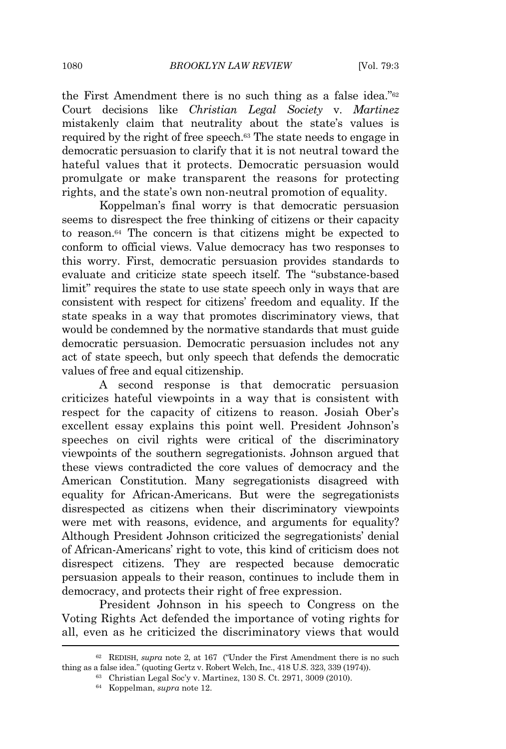the First Amendment there is no such thing as a false idea."<sup>62</sup> Court decisions like *Christian Legal Society* v. *Martinez* mistakenly claim that neutrality about the state's values is required by the right of free speech.<sup>63</sup> The state needs to engage in democratic persuasion to clarify that it is not neutral toward the hateful values that it protects. Democratic persuasion would promulgate or make transparent the reasons for protecting rights, and the state's own non-neutral promotion of equality.

Koppelman's final worry is that democratic persuasion seems to disrespect the free thinking of citizens or their capacity to reason.<sup>64</sup> The concern is that citizens might be expected to conform to official views. Value democracy has two responses to this worry. First, democratic persuasion provides standards to evaluate and criticize state speech itself. The "substance-based limit" requires the state to use state speech only in ways that are consistent with respect for citizens' freedom and equality. If the state speaks in a way that promotes discriminatory views, that would be condemned by the normative standards that must guide democratic persuasion. Democratic persuasion includes not any act of state speech, but only speech that defends the democratic values of free and equal citizenship.

A second response is that democratic persuasion criticizes hateful viewpoints in a way that is consistent with respect for the capacity of citizens to reason. Josiah Ober's excellent essay explains this point well. President Johnson's speeches on civil rights were critical of the discriminatory viewpoints of the southern segregationists. Johnson argued that these views contradicted the core values of democracy and the American Constitution. Many segregationists disagreed with equality for African-Americans. But were the segregationists disrespected as citizens when their discriminatory viewpoints were met with reasons, evidence, and arguments for equality? Although President Johnson criticized the segregationists' denial of African-Americans' right to vote, this kind of criticism does not disrespect citizens. They are respected because democratic persuasion appeals to their reason, continues to include them in democracy, and protects their right of free expression.

President Johnson in his speech to Congress on the Voting Rights Act defended the importance of voting rights for all, even as he criticized the discriminatory views that would

<sup>62</sup> REDISH, *supra* note 2, at 167 ("Under the First Amendment there is no such thing as a false idea." (quoting Gertz v. Robert Welch, Inc., 418 U.S. 323, 339 (1974)).

<sup>63</sup> Christian Legal Soc'y v. Martinez, 130 S. Ct. 2971, 3009 (2010).

<sup>64</sup> Koppelman, *supra* note 12.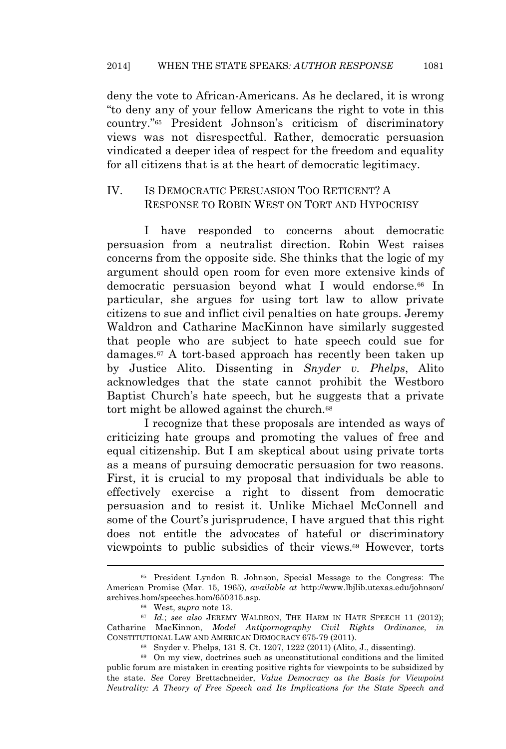deny the vote to African-Americans. As he declared, it is wrong "to deny any of your fellow Americans the right to vote in this country." <sup>65</sup> President Johnson's criticism of discriminatory views was not disrespectful. Rather, democratic persuasion vindicated a deeper idea of respect for the freedom and equality for all citizens that is at the heart of democratic legitimacy.

#### IV. IS DEMOCRATIC PERSUASION TOO RETICENT? A RESPONSE TO ROBIN WEST ON TORT AND HYPOCRISY

I have responded to concerns about democratic persuasion from a neutralist direction. Robin West raises concerns from the opposite side. She thinks that the logic of my argument should open room for even more extensive kinds of democratic persuasion beyond what I would endorse.<sup>66</sup> In particular, she argues for using tort law to allow private citizens to sue and inflict civil penalties on hate groups. Jeremy Waldron and Catharine MacKinnon have similarly suggested that people who are subject to hate speech could sue for damages.<sup>67</sup> A tort-based approach has recently been taken up by Justice Alito. Dissenting in *Snyder v. Phelps*, Alito acknowledges that the state cannot prohibit the Westboro Baptist Church's hate speech, but he suggests that a private tort might be allowed against the church.<sup>68</sup>

I recognize that these proposals are intended as ways of criticizing hate groups and promoting the values of free and equal citizenship. But I am skeptical about using private torts as a means of pursuing democratic persuasion for two reasons. First, it is crucial to my proposal that individuals be able to effectively exercise a right to dissent from democratic persuasion and to resist it. Unlike Michael McConnell and some of the Court's jurisprudence, I have argued that this right does not entitle the advocates of hateful or discriminatory viewpoints to public subsidies of their views.<sup>69</sup> However, torts

<sup>65</sup> President Lyndon B. Johnson, Special Message to the Congress: The American Promise (Mar. 15, 1965), *available at* http://www.lbjlib.utexas.edu/johnson/ archives.hom/speeches.hom/650315.asp.

<sup>66</sup> West, *supra* note 13.

<sup>67</sup> *Id.*; *see also* JEREMY WALDRON, THE HARM IN HATE SPEECH 11 (2012); Catharine MacKinnon, *Model Antipornography Civil Rights Ordinance*, *in* CONSTITUTIONAL LAW AND AMERICAN DEMOCRACY 675-79 (2011).

<sup>68</sup> Snyder v. Phelps, 131 S. Ct. 1207, 1222 (2011) (Alito, J., dissenting).

<sup>69</sup> On my view, doctrines such as unconstitutional conditions and the limited public forum are mistaken in creating positive rights for viewpoints to be subsidized by the state. *See* Corey Brettschneider, *Value Democracy as the Basis for Viewpoint Neutrality: A Theory of Free Speech and Its Implications for the State Speech and*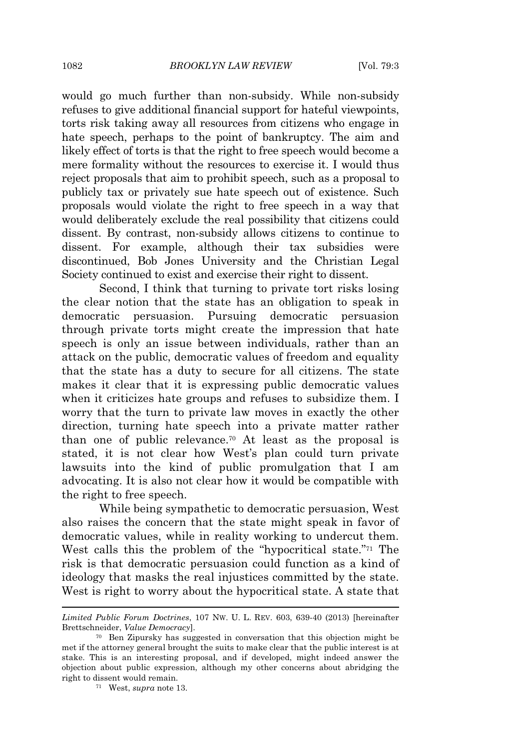would go much further than non-subsidy. While non-subsidy refuses to give additional financial support for hateful viewpoints, torts risk taking away all resources from citizens who engage in hate speech, perhaps to the point of bankruptcy. The aim and likely effect of torts is that the right to free speech would become a mere formality without the resources to exercise it. I would thus reject proposals that aim to prohibit speech, such as a proposal to publicly tax or privately sue hate speech out of existence. Such proposals would violate the right to free speech in a way that would deliberately exclude the real possibility that citizens could dissent. By contrast, non-subsidy allows citizens to continue to dissent. For example, although their tax subsidies were discontinued, Bob Jones University and the Christian Legal Society continued to exist and exercise their right to dissent.

Second, I think that turning to private tort risks losing the clear notion that the state has an obligation to speak in democratic persuasion. Pursuing democratic persuasion through private torts might create the impression that hate speech is only an issue between individuals, rather than an attack on the public, democratic values of freedom and equality that the state has a duty to secure for all citizens. The state makes it clear that it is expressing public democratic values when it criticizes hate groups and refuses to subsidize them. I worry that the turn to private law moves in exactly the other direction, turning hate speech into a private matter rather than one of public relevance.<sup>70</sup> At least as the proposal is stated, it is not clear how West's plan could turn private lawsuits into the kind of public promulgation that I am advocating. It is also not clear how it would be compatible with the right to free speech.

While being sympathetic to democratic persuasion, West also raises the concern that the state might speak in favor of democratic values, while in reality working to undercut them. West calls this the problem of the "hypocritical state."<sup>71</sup> The risk is that democratic persuasion could function as a kind of ideology that masks the real injustices committed by the state. West is right to worry about the hypocritical state. A state that

*Limited Public Forum Doctrines*, 107 NW. U. L. REV. 603, 639-40 (2013) [hereinafter Brettschneider, *Value Democracy*].

<sup>70</sup> Ben Zipursky has suggested in conversation that this objection might be met if the attorney general brought the suits to make clear that the public interest is at stake. This is an interesting proposal, and if developed, might indeed answer the objection about public expression, although my other concerns about abridging the right to dissent would remain.

<sup>71</sup> West, *supra* note 13.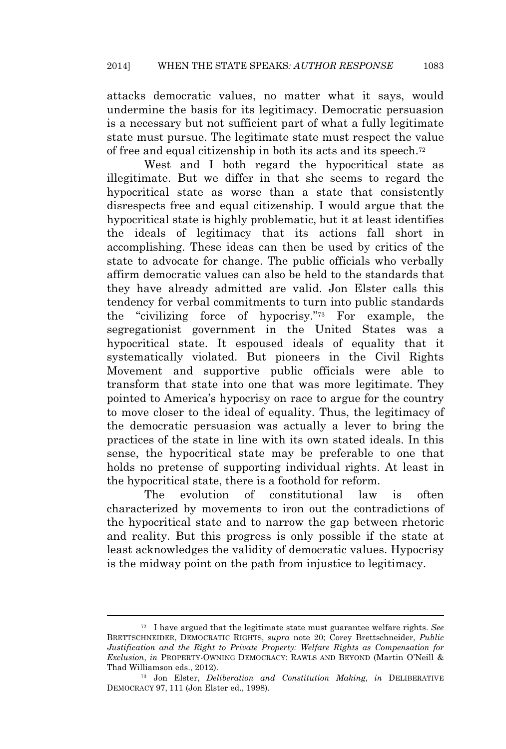attacks democratic values, no matter what it says, would undermine the basis for its legitimacy. Democratic persuasion is a necessary but not sufficient part of what a fully legitimate state must pursue. The legitimate state must respect the value of free and equal citizenship in both its acts and its speech.<sup>72</sup>

West and I both regard the hypocritical state as illegitimate. But we differ in that she seems to regard the hypocritical state as worse than a state that consistently disrespects free and equal citizenship. I would argue that the hypocritical state is highly problematic, but it at least identifies the ideals of legitimacy that its actions fall short in accomplishing. These ideas can then be used by critics of the state to advocate for change. The public officials who verbally affirm democratic values can also be held to the standards that they have already admitted are valid. Jon Elster calls this tendency for verbal commitments to turn into public standards the "civilizing force of hypocrisy." <sup>73</sup> For example, the segregationist government in the United States was a hypocritical state. It espoused ideals of equality that it systematically violated. But pioneers in the Civil Rights Movement and supportive public officials were able to transform that state into one that was more legitimate. They pointed to America's hypocrisy on race to argue for the country to move closer to the ideal of equality. Thus, the legitimacy of the democratic persuasion was actually a lever to bring the practices of the state in line with its own stated ideals. In this sense, the hypocritical state may be preferable to one that holds no pretense of supporting individual rights. At least in the hypocritical state, there is a foothold for reform.

The evolution of constitutional law is often characterized by movements to iron out the contradictions of the hypocritical state and to narrow the gap between rhetoric and reality. But this progress is only possible if the state at least acknowledges the validity of democratic values. Hypocrisy is the midway point on the path from injustice to legitimacy.

<sup>72</sup> I have argued that the legitimate state must guarantee welfare rights. *See* BRETTSCHNEIDER, DEMOCRATIC RIGHTS, *supra* note 20; Corey Brettschneider, *Public Justification and the Right to Private Property: Welfare Rights as Compensation for Exclusion*, *in* PROPERTY-OWNING DEMOCRACY: RAWLS AND BEYOND (Martin O'Neill & Thad Williamson eds., 2012).

<sup>73</sup> Jon Elster, *Deliberation and Constitution Making*, *in* DELIBERATIVE DEMOCRACY 97, 111 (Jon Elster ed., 1998).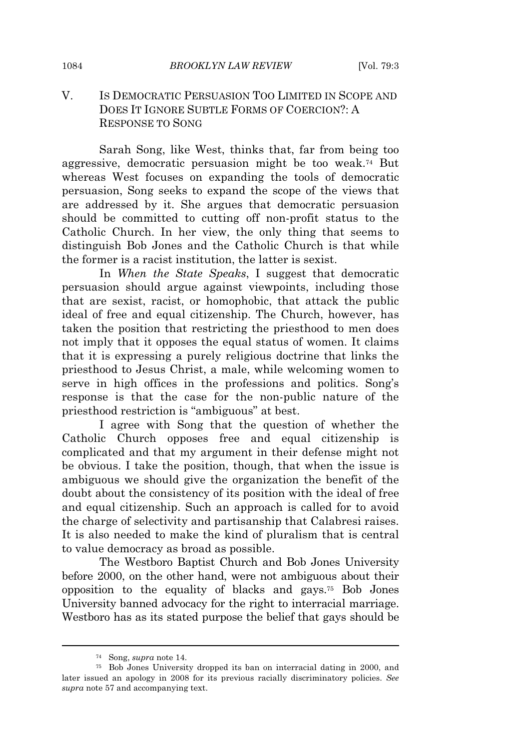#### V. IS DEMOCRATIC PERSUASION TOO LIMITED IN SCOPE AND DOES IT IGNORE SUBTLE FORMS OF COERCION?: A RESPONSE TO SONG

Sarah Song, like West, thinks that, far from being too aggressive, democratic persuasion might be too weak.<sup>74</sup> But whereas West focuses on expanding the tools of democratic persuasion, Song seeks to expand the scope of the views that are addressed by it. She argues that democratic persuasion should be committed to cutting off non-profit status to the Catholic Church. In her view, the only thing that seems to distinguish Bob Jones and the Catholic Church is that while the former is a racist institution, the latter is sexist.

In *When the State Speaks*, I suggest that democratic persuasion should argue against viewpoints, including those that are sexist, racist, or homophobic, that attack the public ideal of free and equal citizenship. The Church, however, has taken the position that restricting the priesthood to men does not imply that it opposes the equal status of women. It claims that it is expressing a purely religious doctrine that links the priesthood to Jesus Christ, a male, while welcoming women to serve in high offices in the professions and politics. Song's response is that the case for the non-public nature of the priesthood restriction is "ambiguous" at best.

I agree with Song that the question of whether the Catholic Church opposes free and equal citizenship is complicated and that my argument in their defense might not be obvious. I take the position, though, that when the issue is ambiguous we should give the organization the benefit of the doubt about the consistency of its position with the ideal of free and equal citizenship. Such an approach is called for to avoid the charge of selectivity and partisanship that Calabresi raises. It is also needed to make the kind of pluralism that is central to value democracy as broad as possible.

The Westboro Baptist Church and Bob Jones University before 2000, on the other hand, were not ambiguous about their opposition to the equality of blacks and gays.<sup>75</sup> Bob Jones University banned advocacy for the right to interracial marriage. Westboro has as its stated purpose the belief that gays should be

<sup>74</sup> Song, *supra* note 14.

<sup>75</sup> Bob Jones University dropped its ban on interracial dating in 2000, and later issued an apology in 2008 for its previous racially discriminatory policies. *See supra* note 57 and accompanying text.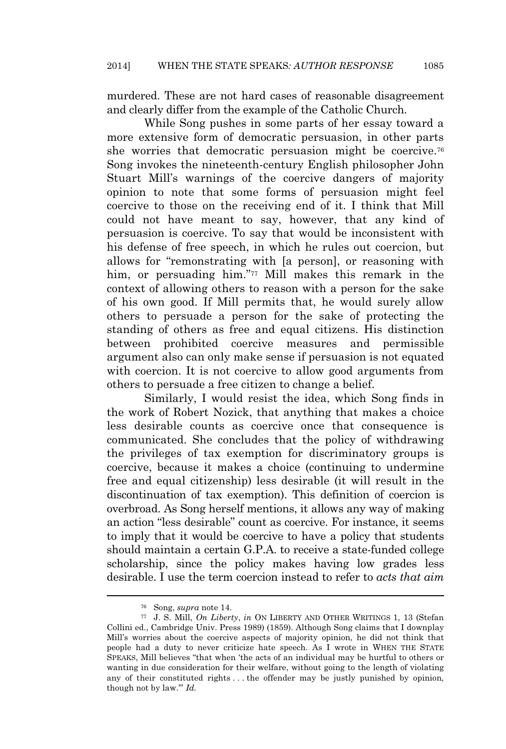murdered. These are not hard cases of reasonable disagreement and clearly differ from the example of the Catholic Church.

While Song pushes in some parts of her essay toward a more extensive form of democratic persuasion, in other parts she worries that democratic persuasion might be coercive.<sup>76</sup> Song invokes the nineteenth-century English philosopher John Stuart Mill's warnings of the coercive dangers of majority opinion to note that some forms of persuasion might feel coercive to those on the receiving end of it. I think that Mill could not have meant to say, however, that any kind of persuasion is coercive. To say that would be inconsistent with his defense of free speech, in which he rules out coercion, but allows for "remonstrating with [a person], or reasoning with him, or persuading him." <sup>77</sup> Mill makes this remark in the context of allowing others to reason with a person for the sake of his own good. If Mill permits that, he would surely allow others to persuade a person for the sake of protecting the standing of others as free and equal citizens. His distinction between prohibited coercive measures and permissible argument also can only make sense if persuasion is not equated with coercion. It is not coercive to allow good arguments from others to persuade a free citizen to change a belief.

Similarly, I would resist the idea, which Song finds in the work of Robert Nozick, that anything that makes a choice less desirable counts as coercive once that consequence is communicated. She concludes that the policy of withdrawing the privileges of tax exemption for discriminatory groups is coercive, because it makes a choice (continuing to undermine free and equal citizenship) less desirable (it will result in the discontinuation of tax exemption). This definition of coercion is overbroad. As Song herself mentions, it allows any way of making an action "less desirable" count as coercive. For instance, it seems to imply that it would be coercive to have a policy that students should maintain a certain G.P.A. to receive a state-funded college scholarship, since the policy makes having low grades less desirable. I use the term coercion instead to refer to *acts that aim*

<sup>76</sup> Song, *supra* note 14.

<sup>77</sup> J. S. Mill, *On Liberty*, *in* O<sup>N</sup> LIBERTY AND OTHER WRITINGS 1, 13 (Stefan Collini ed., Cambridge Univ. Press 1989) (1859). Although Song claims that I downplay Mill's worries about the coercive aspects of majority opinion, he did not think that people had a duty to never criticize hate speech. As I wrote in WHEN THE STATE SPEAKS, Mill believes "that when 'the acts of an individual may be hurtful to others or wanting in due consideration for their welfare, without going to the length of violating any of their constituted rights . . . the offender may be justly punished by opinion, though not by law.'" *Id.*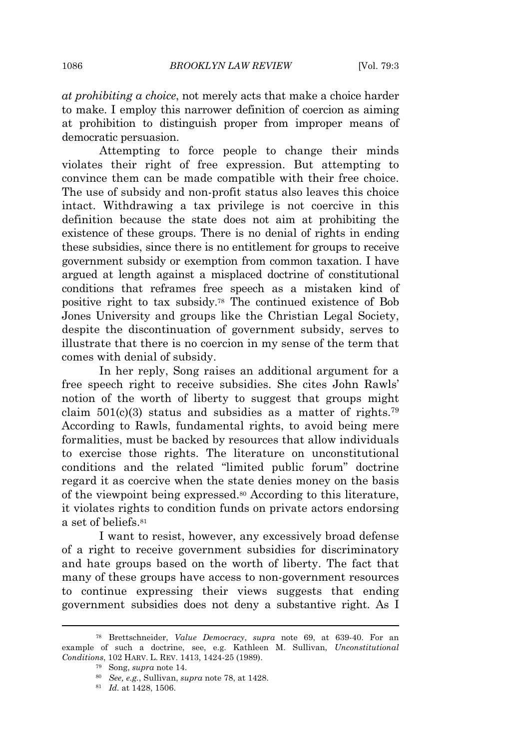*at prohibiting a choice*, not merely acts that make a choice harder to make. I employ this narrower definition of coercion as aiming at prohibition to distinguish proper from improper means of democratic persuasion.

Attempting to force people to change their minds violates their right of free expression. But attempting to convince them can be made compatible with their free choice. The use of subsidy and non-profit status also leaves this choice intact. Withdrawing a tax privilege is not coercive in this definition because the state does not aim at prohibiting the existence of these groups. There is no denial of rights in ending these subsidies, since there is no entitlement for groups to receive government subsidy or exemption from common taxation. I have argued at length against a misplaced doctrine of constitutional conditions that reframes free speech as a mistaken kind of positive right to tax subsidy.<sup>78</sup> The continued existence of Bob Jones University and groups like the Christian Legal Society, despite the discontinuation of government subsidy, serves to illustrate that there is no coercion in my sense of the term that comes with denial of subsidy.

In her reply, Song raises an additional argument for a free speech right to receive subsidies. She cites John Rawls' notion of the worth of liberty to suggest that groups might claim  $501(c)(3)$  status and subsidies as a matter of rights.<sup>79</sup> According to Rawls, fundamental rights, to avoid being mere formalities, must be backed by resources that allow individuals to exercise those rights. The literature on unconstitutional conditions and the related "limited public forum" doctrine regard it as coercive when the state denies money on the basis of the viewpoint being expressed.<sup>80</sup> According to this literature, it violates rights to condition funds on private actors endorsing a set of beliefs.<sup>81</sup>

I want to resist, however, any excessively broad defense of a right to receive government subsidies for discriminatory and hate groups based on the worth of liberty. The fact that many of these groups have access to non-government resources to continue expressing their views suggests that ending government subsidies does not deny a substantive right. As I

<sup>78</sup> Brettschneider, *Value Democracy*, *supra* note 69, at 639-40. For an example of such a doctrine, see, e.g. Kathleen M. Sullivan, *Unconstitutional Conditions*, 102 HARV. L. REV. 1413, 1424-25 (1989).

<sup>79</sup> Song, *supra* note 14.

<sup>80</sup> *See, e.g.*, Sullivan, *supra* note 78, at 1428.

<sup>81</sup> *Id.* at 1428, 1506.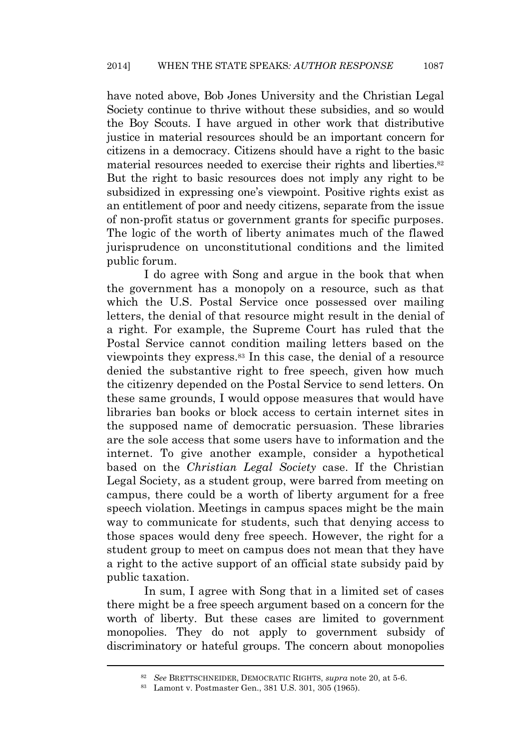have noted above, Bob Jones University and the Christian Legal Society continue to thrive without these subsidies, and so would the Boy Scouts. I have argued in other work that distributive justice in material resources should be an important concern for citizens in a democracy. Citizens should have a right to the basic material resources needed to exercise their rights and liberties.<sup>82</sup> But the right to basic resources does not imply any right to be subsidized in expressing one's viewpoint. Positive rights exist as an entitlement of poor and needy citizens, separate from the issue of non-profit status or government grants for specific purposes. The logic of the worth of liberty animates much of the flawed jurisprudence on unconstitutional conditions and the limited public forum.

I do agree with Song and argue in the book that when the government has a monopoly on a resource, such as that which the U.S. Postal Service once possessed over mailing letters, the denial of that resource might result in the denial of a right. For example, the Supreme Court has ruled that the Postal Service cannot condition mailing letters based on the viewpoints they express.<sup>83</sup> In this case, the denial of a resource denied the substantive right to free speech, given how much the citizenry depended on the Postal Service to send letters. On these same grounds, I would oppose measures that would have libraries ban books or block access to certain internet sites in the supposed name of democratic persuasion. These libraries are the sole access that some users have to information and the internet. To give another example, consider a hypothetical based on the *Christian Legal Society* case. If the Christian Legal Society, as a student group, were barred from meeting on campus, there could be a worth of liberty argument for a free speech violation. Meetings in campus spaces might be the main way to communicate for students, such that denying access to those spaces would deny free speech. However, the right for a student group to meet on campus does not mean that they have a right to the active support of an official state subsidy paid by public taxation.

In sum, I agree with Song that in a limited set of cases there might be a free speech argument based on a concern for the worth of liberty. But these cases are limited to government monopolies. They do not apply to government subsidy of discriminatory or hateful groups. The concern about monopolies

<sup>82</sup> *See* BRETTSCHNEIDER, DEMOCRATIC RIGHTS, *supra* note 20, at 5-6.

<sup>83</sup> Lamont v. Postmaster Gen., 381 U.S. 301, 305 (1965).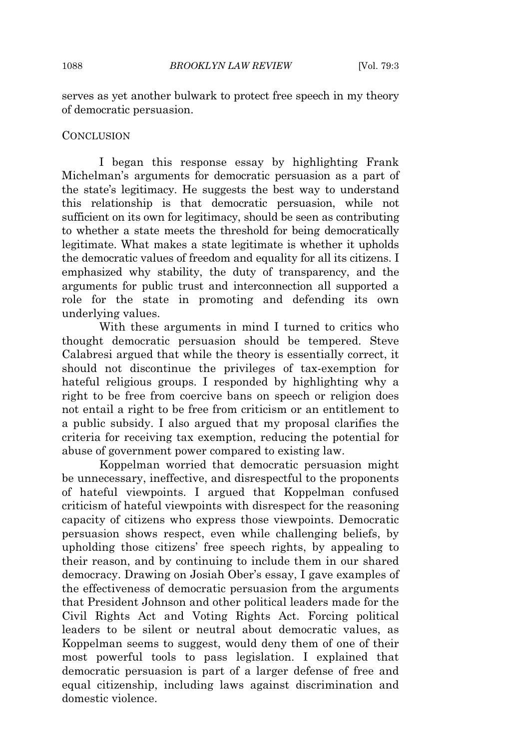serves as yet another bulwark to protect free speech in my theory of democratic persuasion.

#### **CONCLUSION**

I began this response essay by highlighting Frank Michelman's arguments for democratic persuasion as a part of the state's legitimacy. He suggests the best way to understand this relationship is that democratic persuasion, while not sufficient on its own for legitimacy, should be seen as contributing to whether a state meets the threshold for being democratically legitimate. What makes a state legitimate is whether it upholds the democratic values of freedom and equality for all its citizens. I emphasized why stability, the duty of transparency, and the arguments for public trust and interconnection all supported a role for the state in promoting and defending its own underlying values.

With these arguments in mind I turned to critics who thought democratic persuasion should be tempered. Steve Calabresi argued that while the theory is essentially correct, it should not discontinue the privileges of tax-exemption for hateful religious groups. I responded by highlighting why a right to be free from coercive bans on speech or religion does not entail a right to be free from criticism or an entitlement to a public subsidy. I also argued that my proposal clarifies the criteria for receiving tax exemption, reducing the potential for abuse of government power compared to existing law.

Koppelman worried that democratic persuasion might be unnecessary, ineffective, and disrespectful to the proponents of hateful viewpoints. I argued that Koppelman confused criticism of hateful viewpoints with disrespect for the reasoning capacity of citizens who express those viewpoints. Democratic persuasion shows respect, even while challenging beliefs, by upholding those citizens' free speech rights, by appealing to their reason, and by continuing to include them in our shared democracy. Drawing on Josiah Ober's essay, I gave examples of the effectiveness of democratic persuasion from the arguments that President Johnson and other political leaders made for the Civil Rights Act and Voting Rights Act. Forcing political leaders to be silent or neutral about democratic values, as Koppelman seems to suggest, would deny them of one of their most powerful tools to pass legislation. I explained that democratic persuasion is part of a larger defense of free and equal citizenship, including laws against discrimination and domestic violence.